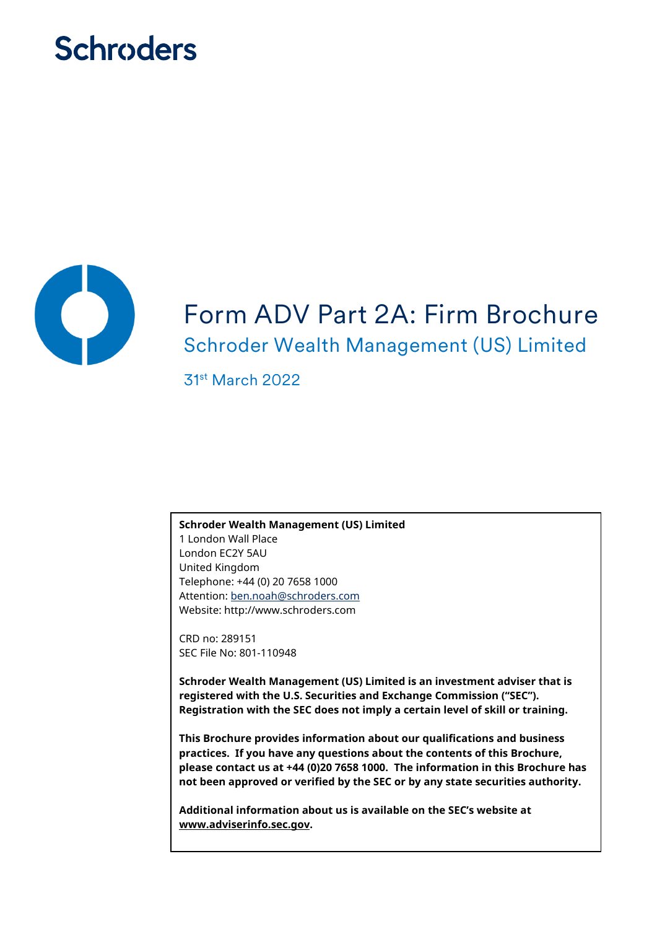# **Schroders**



# Form ADV Part 2A: Firm Brochure Schroder Wealth Management (US) Limited

31st March 2022

**Schroder Wealth Management (US) Limited** 1 London Wall Place

London EC2Y 5AU United Kingdom Telephone: +44 (0) 20 7658 1000 Attention: [ben.noah@schroders.com](mailto:ben.noah@schroders.com)  Website: http://www.schroders.com

CRD no: 289151 SEC File No: 801-110948

**Schroder Wealth Management (US) Limited is an investment adviser that is registered with the U.S. Securities and Exchange Commission ("SEC"). Registration with the SEC does not imply a certain level of skill or training.**

**This Brochure provides information about our qualifications and business practices. If you have any questions about the contents of this Brochure, please contact us at +44 (0)20 7658 1000. The information in this Brochure has not been approved or verified by the SEC or by any state securities authority.**

**Additional information about us is available on the SEC's website at www.adviserinfo.sec.gov.**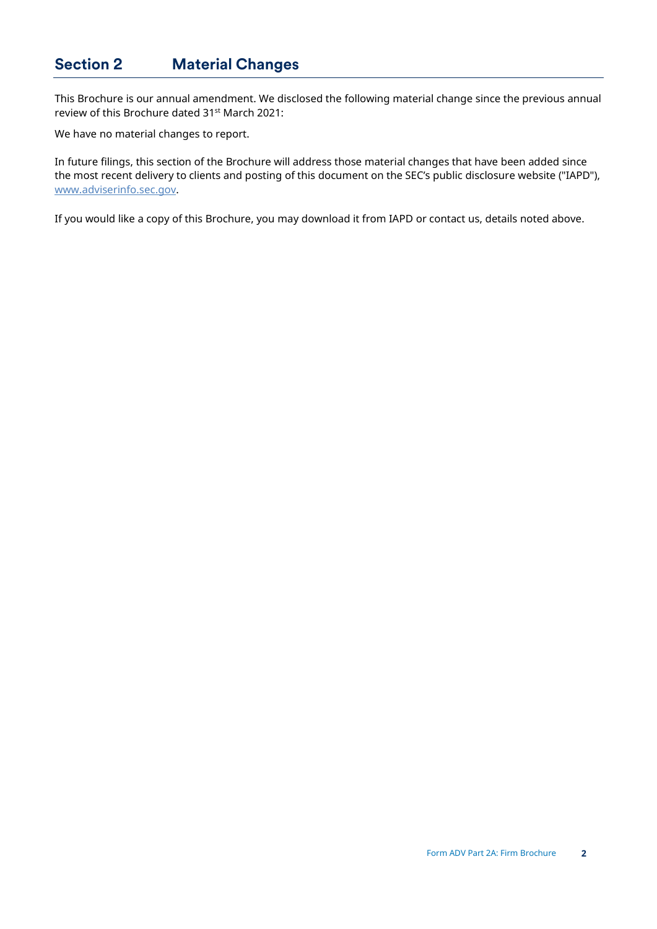## <span id="page-1-0"></span>**Section 2 Material Changes**

This Brochure is our annual amendment. We disclosed the following material change since the previous annual review of this Brochure dated 31st March 2021:

We have no material changes to report.

In future filings, this section of the Brochure will address those material changes that have been added since the most recent delivery to clients and posting of this document on the SEC's public disclosure website ("IAPD"), [www.adviserinfo.sec.gov.](http://www.adviserinfo.sec.gov/)

If you would like a copy of this Brochure, you may download it from IAPD or contact us, details noted above.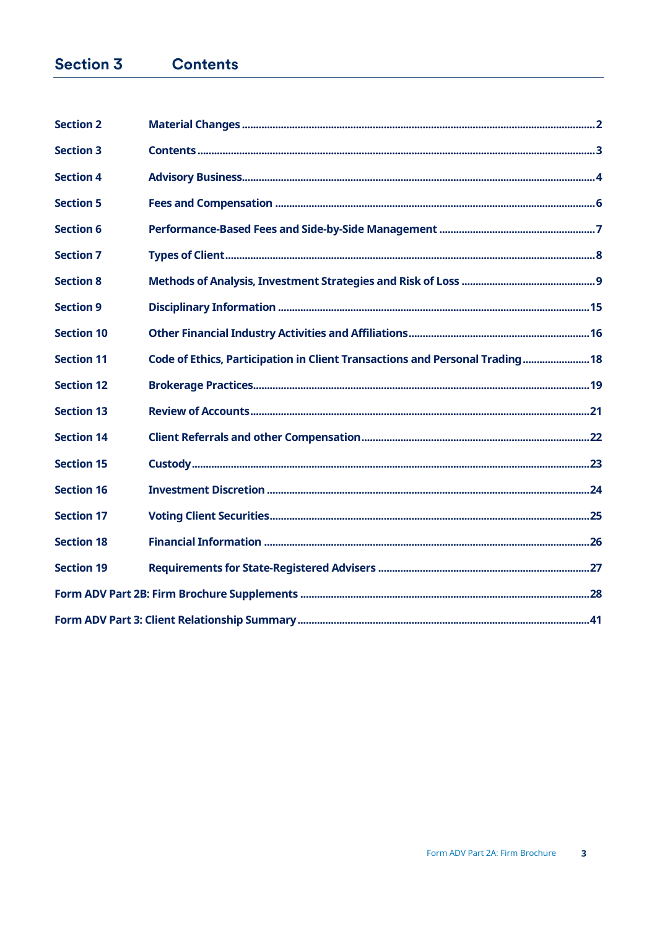#### **Section 3 Contents**

<span id="page-2-0"></span>

| <b>Section 2</b>  |                                                                              |  |
|-------------------|------------------------------------------------------------------------------|--|
| <b>Section 3</b>  |                                                                              |  |
| <b>Section 4</b>  |                                                                              |  |
| <b>Section 5</b>  |                                                                              |  |
| <b>Section 6</b>  |                                                                              |  |
| <b>Section 7</b>  |                                                                              |  |
| <b>Section 8</b>  |                                                                              |  |
| <b>Section 9</b>  |                                                                              |  |
| <b>Section 10</b> |                                                                              |  |
| <b>Section 11</b> | Code of Ethics, Participation in Client Transactions and Personal Trading 18 |  |
| <b>Section 12</b> |                                                                              |  |
| <b>Section 13</b> |                                                                              |  |
| <b>Section 14</b> |                                                                              |  |
| <b>Section 15</b> |                                                                              |  |
| <b>Section 16</b> |                                                                              |  |
| <b>Section 17</b> |                                                                              |  |
| <b>Section 18</b> |                                                                              |  |
| <b>Section 19</b> |                                                                              |  |
|                   |                                                                              |  |
|                   |                                                                              |  |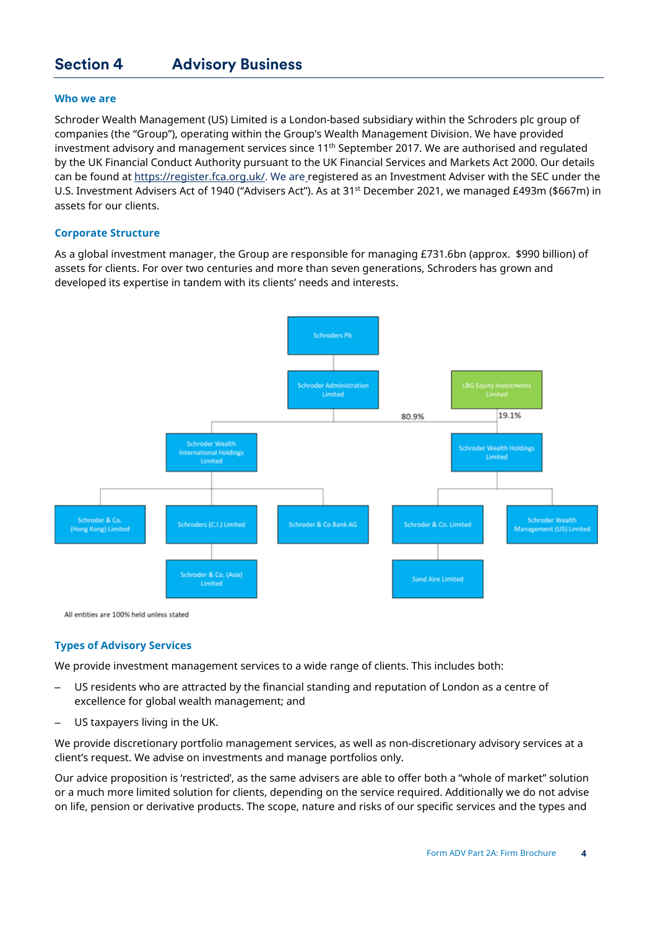## <span id="page-3-0"></span>**Section 4 Advisory Business**

#### **Who we are**

Schroder Wealth Management (US) Limited is a London-based subsidiary within the Schroders plc group of companies (the "Group"), operating within the Group's Wealth Management Division. We have provided investment advisory and management services since 11<sup>th</sup> September 2017. We are authorised and regulated by the UK Financial Conduct Authority pursuant to the UK Financial Services and Markets Act 2000. Our details can be found at [https://register.fca.org.uk/.](https://register.fca.org.uk/) We are registered as an Investment Adviser with the SEC under the U.S. Investment Advisers Act of 1940 ("Advisers Act"). As at 31<sup>st</sup> December 2021, we managed £493m (\$667m) in assets for our clients.

#### **Corporate Structure**

As a global investment manager, the Group are responsible for managing £731.6bn (approx. \$990 billion) of assets for clients. For over two centuries and more than seven generations, Schroders has grown and developed its expertise in tandem with its clients' needs and interests.



All entities are 100% held unless stated

#### **Types of Advisory Services**

We provide investment management services to a wide range of clients. This includes both:

- US residents who are attracted by the financial standing and reputation of London as a centre of excellence for global wealth management; and
- US taxpayers living in the UK.

We provide discretionary portfolio management services, as well as non-discretionary advisory services at a client's request. We advise on investments and manage portfolios only.

Our advice proposition is 'restricted', as the same advisers are able to offer both a "whole of market" solution or a much more limited solution for clients, depending on the service required. Additionally we do not advise on life, pension or derivative products. The scope, nature and risks of our specific services and the types and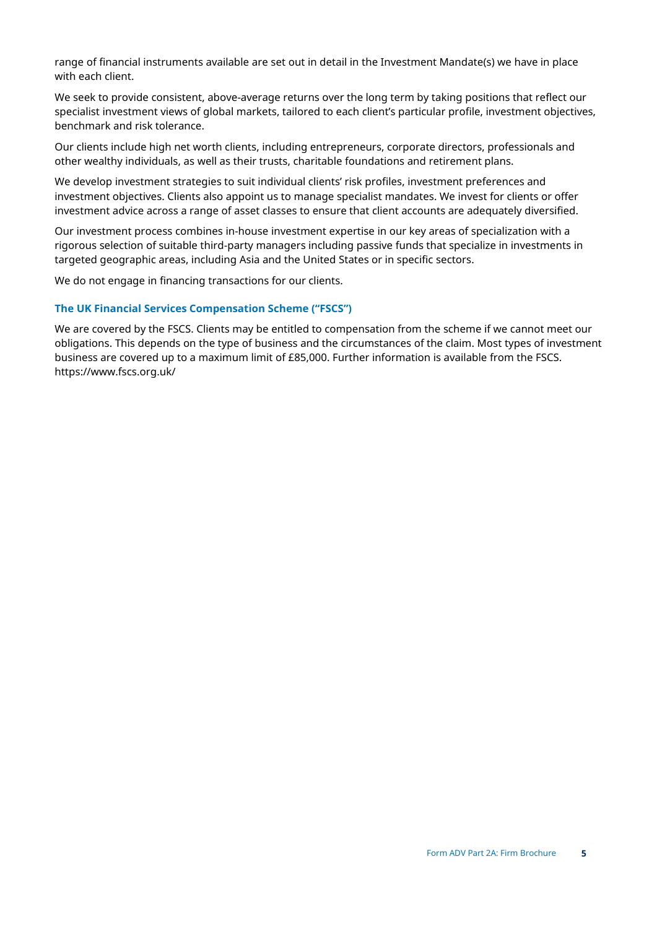range of financial instruments available are set out in detail in the Investment Mandate(s) we have in place with each client.

We seek to provide consistent, above-average returns over the long term by taking positions that reflect our specialist investment views of global markets, tailored to each client's particular profile, investment objectives, benchmark and risk tolerance.

Our clients include high net worth clients, including entrepreneurs, corporate directors, professionals and other wealthy individuals, as well as their trusts, charitable foundations and retirement plans.

We develop investment strategies to suit individual clients' risk profiles, investment preferences and investment objectives. Clients also appoint us to manage specialist mandates. We invest for clients or offer investment advice across a range of asset classes to ensure that client accounts are adequately diversified.

Our investment process combines in-house investment expertise in our key areas of specialization with a rigorous selection of suitable third-party managers including passive funds that specialize in investments in targeted geographic areas, including Asia and the United States or in specific sectors.

We do not engage in financing transactions for our clients.

#### **The UK Financial Services Compensation Scheme ("FSCS")**

We are covered by the FSCS. Clients may be entitled to compensation from the scheme if we cannot meet our obligations. This depends on the type of business and the circumstances of the claim. Most types of investment business are covered up to a maximum limit of £85,000. Further information is available from the FSCS. https://www.fscs.org.uk/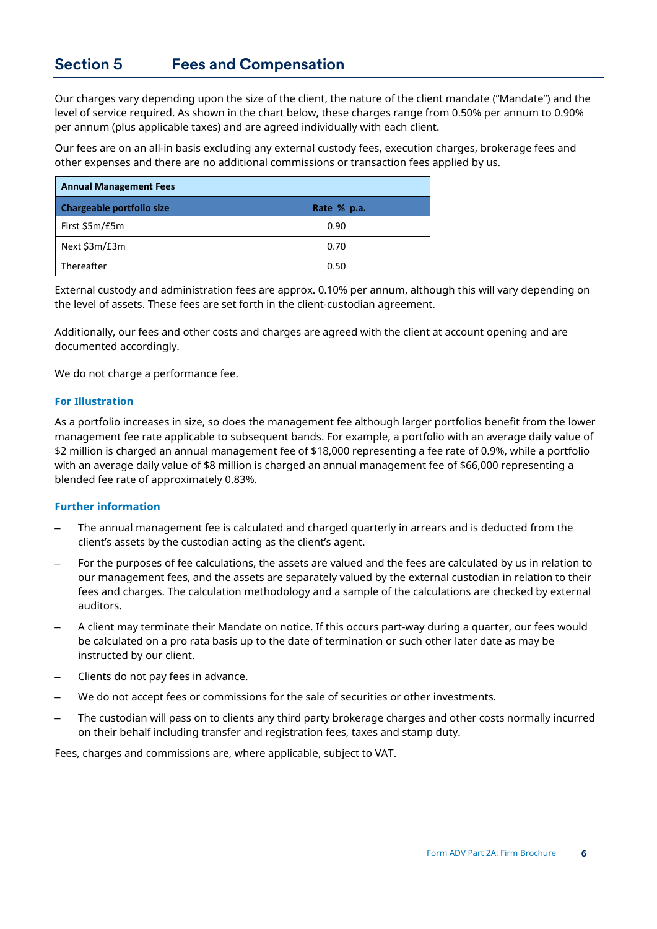## <span id="page-5-0"></span>**Section 5 Fees and Compensation**

Our charges vary depending upon the size of the client, the nature of the client mandate ("Mandate") and the level of service required. As shown in the chart below, these charges range from 0.50% per annum to 0.90% per annum (plus applicable taxes) and are agreed individually with each client.

Our fees are on an all-in basis excluding any external custody fees, execution charges, brokerage fees and other expenses and there are no additional commissions or transaction fees applied by us.

| <b>Annual Management Fees</b> |             |  |  |
|-------------------------------|-------------|--|--|
| Chargeable portfolio size     | Rate % p.a. |  |  |
| First \$5m/£5m                | 0.90        |  |  |
| Next \$3m/£3m                 | 0.70        |  |  |
| Thereafter                    | 0.50        |  |  |

External custody and administration fees are approx. 0.10% per annum, although this will vary depending on the level of assets. These fees are set forth in the client-custodian agreement.

Additionally, our fees and other costs and charges are agreed with the client at account opening and are documented accordingly.

We do not charge a performance fee.

#### **For Illustration**

As a portfolio increases in size, so does the management fee although larger portfolios benefit from the lower management fee rate applicable to subsequent bands. For example, a portfolio with an average daily value of \$2 million is charged an annual management fee of \$18,000 representing a fee rate of 0.9%, while a portfolio with an average daily value of \$8 million is charged an annual management fee of \$66,000 representing a blended fee rate of approximately 0.83%.

#### **Further information**

- The annual management fee is calculated and charged quarterly in arrears and is deducted from the client's assets by the custodian acting as the client's agent.
- For the purposes of fee calculations, the assets are valued and the fees are calculated by us in relation to our management fees, and the assets are separately valued by the external custodian in relation to their fees and charges. The calculation methodology and a sample of the calculations are checked by external auditors.
- A client may terminate their Mandate on notice. If this occurs part-way during a quarter, our fees would be calculated on a pro rata basis up to the date of termination or such other later date as may be instructed by our client.
- Clients do not pay fees in advance.
- We do not accept fees or commissions for the sale of securities or other investments.
- The custodian will pass on to clients any third party brokerage charges and other costs normally incurred on their behalf including transfer and registration fees, taxes and stamp duty.

Fees, charges and commissions are, where applicable, subject to VAT.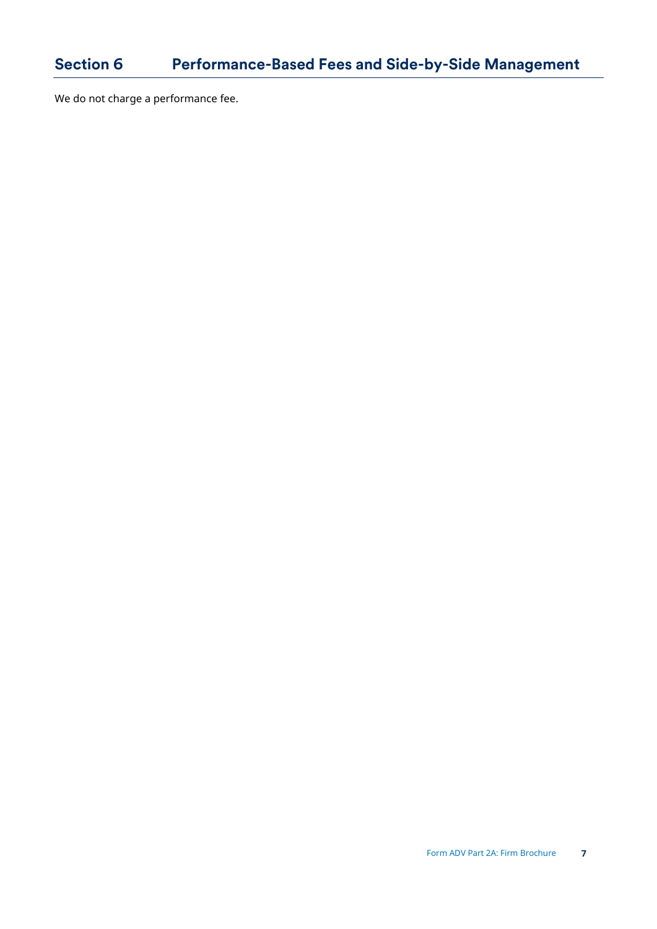<span id="page-6-0"></span>We do not charge a performance fee.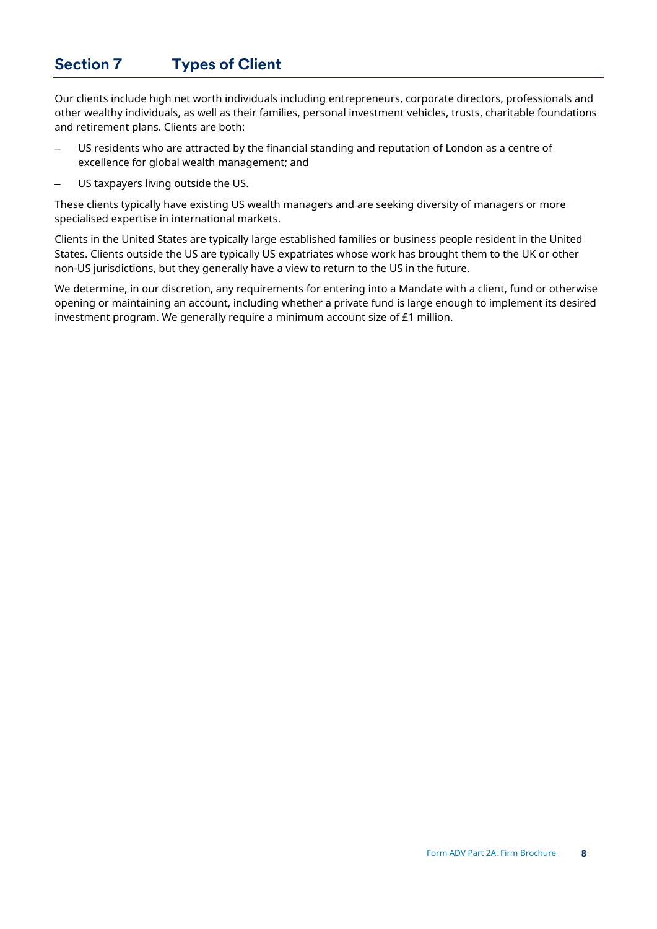## <span id="page-7-0"></span>**Section 7 Types of Client**

Our clients include high net worth individuals including entrepreneurs, corporate directors, professionals and other wealthy individuals, as well as their families, personal investment vehicles, trusts, charitable foundations and retirement plans. Clients are both:

- US residents who are attracted by the financial standing and reputation of London as a centre of excellence for global wealth management; and
- US taxpayers living outside the US.

These clients typically have existing US wealth managers and are seeking diversity of managers or more specialised expertise in international markets.

Clients in the United States are typically large established families or business people resident in the United States. Clients outside the US are typically US expatriates whose work has brought them to the UK or other non-US jurisdictions, but they generally have a view to return to the US in the future.

We determine, in our discretion, any requirements for entering into a Mandate with a client, fund or otherwise opening or maintaining an account, including whether a private fund is large enough to implement its desired investment program. We generally require a minimum account size of £1 million.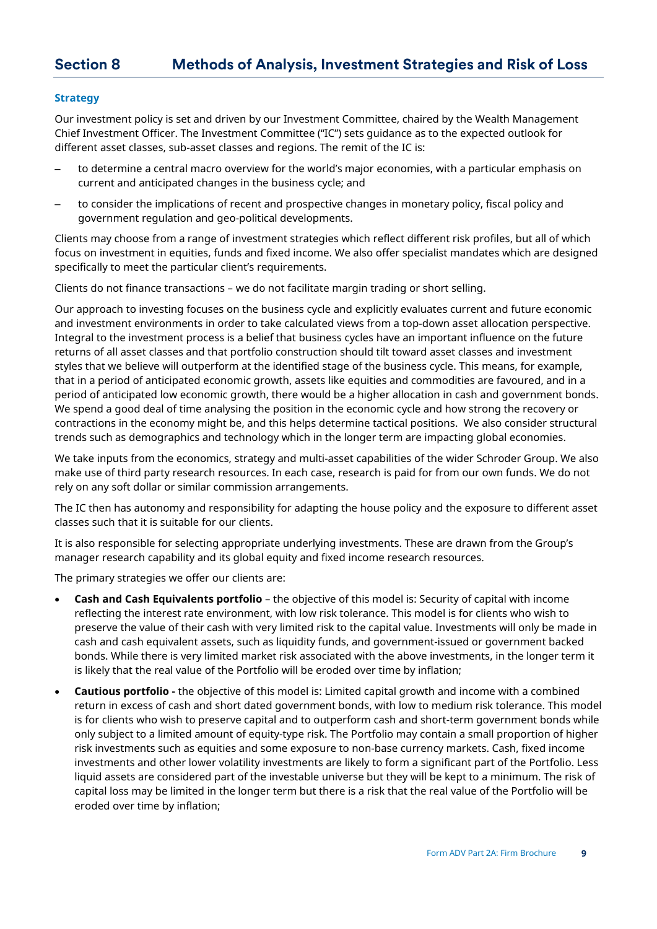## <span id="page-8-0"></span>**Section 8 Methods of Analysis, Investment Strategies and Risk of Loss**

#### **Strategy**

Our investment policy is set and driven by our Investment Committee, chaired by the Wealth Management Chief Investment Officer. The Investment Committee ("IC") sets guidance as to the expected outlook for different asset classes, sub-asset classes and regions. The remit of the IC is:

- to determine a central macro overview for the world's major economies, with a particular emphasis on current and anticipated changes in the business cycle; and
- to consider the implications of recent and prospective changes in monetary policy, fiscal policy and government regulation and geo-political developments.

Clients may choose from a range of investment strategies which reflect different risk profiles, but all of which focus on investment in equities, funds and fixed income. We also offer specialist mandates which are designed specifically to meet the particular client's requirements.

Clients do not finance transactions – we do not facilitate margin trading or short selling.

Our approach to investing focuses on the business cycle and explicitly evaluates current and future economic and investment environments in order to take calculated views from a top-down asset allocation perspective. Integral to the investment process is a belief that business cycles have an important influence on the future returns of all asset classes and that portfolio construction should tilt toward asset classes and investment styles that we believe will outperform at the identified stage of the business cycle. This means, for example, that in a period of anticipated economic growth, assets like equities and commodities are favoured, and in a period of anticipated low economic growth, there would be a higher allocation in cash and government bonds. We spend a good deal of time analysing the position in the economic cycle and how strong the recovery or contractions in the economy might be, and this helps determine tactical positions. We also consider structural trends such as demographics and technology which in the longer term are impacting global economies.

We take inputs from the economics, strategy and multi-asset capabilities of the wider Schroder Group. We also make use of third party research resources. In each case, research is paid for from our own funds. We do not rely on any soft dollar or similar commission arrangements.

The IC then has autonomy and responsibility for adapting the house policy and the exposure to different asset classes such that it is suitable for our clients.

It is also responsible for selecting appropriate underlying investments. These are drawn from the Group's manager research capability and its global equity and fixed income research resources.

The primary strategies we offer our clients are:

- **Cash and Cash Equivalents portfolio** the objective of this model is: Security of capital with income reflecting the interest rate environment, with low risk tolerance. This model is for clients who wish to preserve the value of their cash with very limited risk to the capital value. Investments will only be made in cash and cash equivalent assets, such as liquidity funds, and government-issued or government backed bonds. While there is very limited market risk associated with the above investments, in the longer term it is likely that the real value of the Portfolio will be eroded over time by inflation;
- **Cautious portfolio** the objective of this model is: Limited capital growth and income with a combined return in excess of cash and short dated government bonds, with low to medium risk tolerance. This model is for clients who wish to preserve capital and to outperform cash and short-term government bonds while only subject to a limited amount of equity-type risk. The Portfolio may contain a small proportion of higher risk investments such as equities and some exposure to non-base currency markets. Cash, fixed income investments and other lower volatility investments are likely to form a significant part of the Portfolio. Less liquid assets are considered part of the investable universe but they will be kept to a minimum. The risk of capital loss may be limited in the longer term but there is a risk that the real value of the Portfolio will be eroded over time by inflation;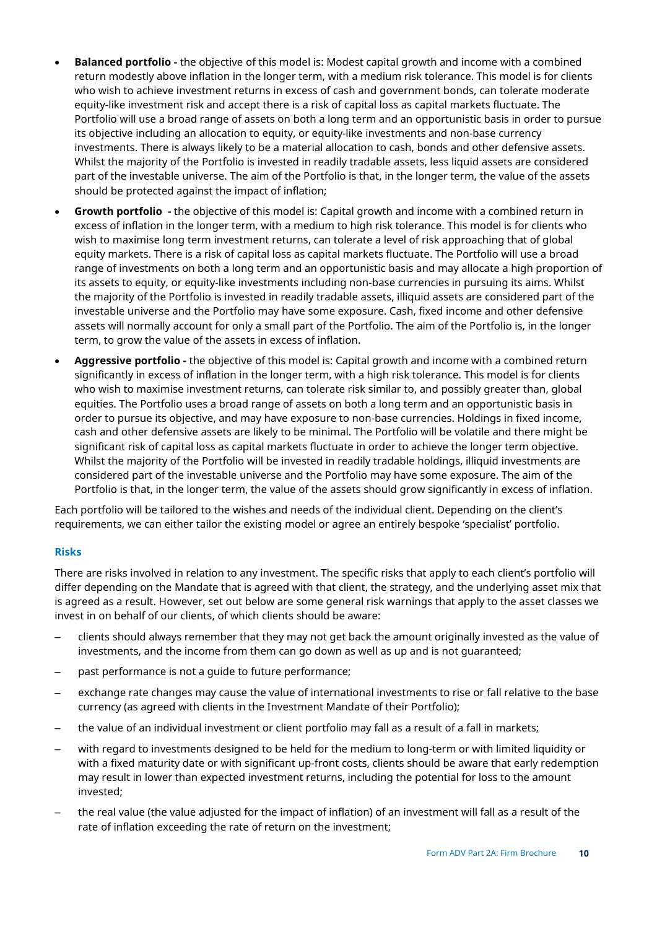- **Balanced portfolio -** the objective of this model is: Modest capital growth and income with a combined return modestly above inflation in the longer term, with a medium risk tolerance. This model is for clients who wish to achieve investment returns in excess of cash and government bonds, can tolerate moderate equity-like investment risk and accept there is a risk of capital loss as capital markets fluctuate. The Portfolio will use a broad range of assets on both a long term and an opportunistic basis in order to pursue its objective including an allocation to equity, or equity-like investments and non-base currency investments. There is always likely to be a material allocation to cash, bonds and other defensive assets. Whilst the majority of the Portfolio is invested in readily tradable assets, less liquid assets are considered part of the investable universe. The aim of the Portfolio is that, in the longer term, the value of the assets should be protected against the impact of inflation;
- **Growth portfolio -** the objective of this model is: Capital growth and income with a combined return in excess of inflation in the longer term, with a medium to high risk tolerance. This model is for clients who wish to maximise long term investment returns, can tolerate a level of risk approaching that of global equity markets. There is a risk of capital loss as capital markets fluctuate. The Portfolio will use a broad range of investments on both a long term and an opportunistic basis and may allocate a high proportion of its assets to equity, or equity-like investments including non-base currencies in pursuing its aims. Whilst the majority of the Portfolio is invested in readily tradable assets, illiquid assets are considered part of the investable universe and the Portfolio may have some exposure. Cash, fixed income and other defensive assets will normally account for only a small part of the Portfolio. The aim of the Portfolio is, in the longer term, to grow the value of the assets in excess of inflation.
- **Aggressive portfolio -** the objective of this model is: Capital growth and income with a combined return significantly in excess of inflation in the longer term, with a high risk tolerance. This model is for clients who wish to maximise investment returns, can tolerate risk similar to, and possibly greater than, global equities. The Portfolio uses a broad range of assets on both a long term and an opportunistic basis in order to pursue its objective, and may have exposure to non-base currencies. Holdings in fixed income, cash and other defensive assets are likely to be minimal. The Portfolio will be volatile and there might be significant risk of capital loss as capital markets fluctuate in order to achieve the longer term objective. Whilst the majority of the Portfolio will be invested in readily tradable holdings, illiquid investments are considered part of the investable universe and the Portfolio may have some exposure. The aim of the Portfolio is that, in the longer term, the value of the assets should grow significantly in excess of inflation.

Each portfolio will be tailored to the wishes and needs of the individual client. Depending on the client's requirements, we can either tailor the existing model or agree an entirely bespoke 'specialist' portfolio.

### **Risks**

There are risks involved in relation to any investment. The specific risks that apply to each client's portfolio will differ depending on the Mandate that is agreed with that client, the strategy, and the underlying asset mix that is agreed as a result. However, set out below are some general risk warnings that apply to the asset classes we invest in on behalf of our clients, of which clients should be aware:

- clients should always remember that they may not get back the amount originally invested as the value of investments, and the income from them can go down as well as up and is not guaranteed;
- past performance is not a guide to future performance;
- exchange rate changes may cause the value of international investments to rise or fall relative to the base currency (as agreed with clients in the Investment Mandate of their Portfolio);
- the value of an individual investment or client portfolio may fall as a result of a fall in markets;
- with regard to investments designed to be held for the medium to long-term or with limited liquidity or with a fixed maturity date or with significant up-front costs, clients should be aware that early redemption may result in lower than expected investment returns, including the potential for loss to the amount invested;
- the real value (the value adjusted for the impact of inflation) of an investment will fall as a result of the rate of inflation exceeding the rate of return on the investment;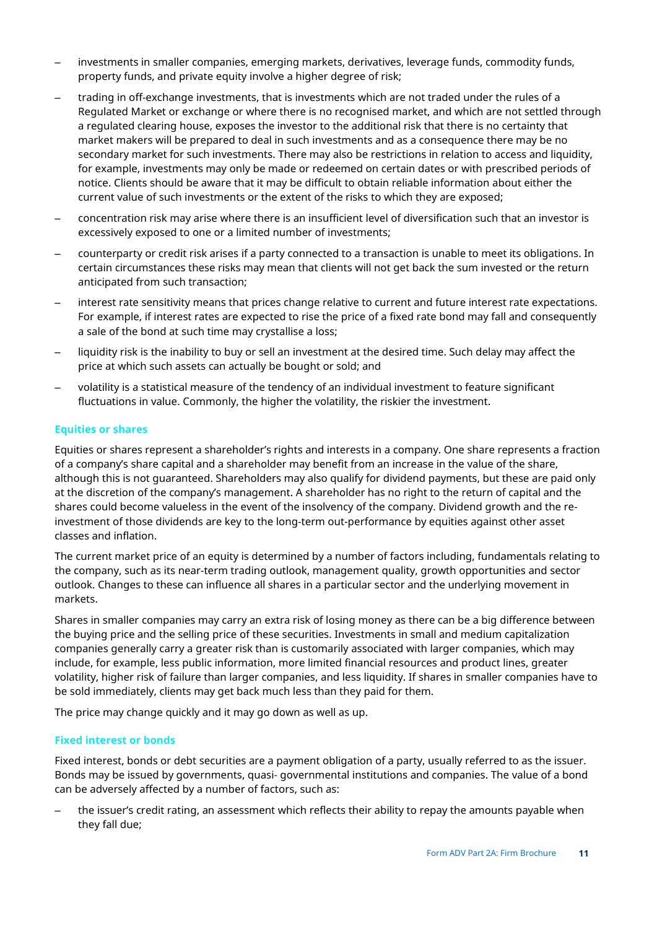- investments in smaller companies, emerging markets, derivatives, leverage funds, commodity funds, property funds, and private equity involve a higher degree of risk;
- trading in off-exchange investments, that is investments which are not traded under the rules of a Regulated Market or exchange or where there is no recognised market, and which are not settled through a regulated clearing house, exposes the investor to the additional risk that there is no certainty that market makers will be prepared to deal in such investments and as a consequence there may be no secondary market for such investments. There may also be restrictions in relation to access and liquidity, for example, investments may only be made or redeemed on certain dates or with prescribed periods of notice. Clients should be aware that it may be difficult to obtain reliable information about either the current value of such investments or the extent of the risks to which they are exposed;
- concentration risk may arise where there is an insufficient level of diversification such that an investor is excessively exposed to one or a limited number of investments;
- counterparty or credit risk arises if a party connected to a transaction is unable to meet its obligations. In certain circumstances these risks may mean that clients will not get back the sum invested or the return anticipated from such transaction;
- interest rate sensitivity means that prices change relative to current and future interest rate expectations. For example, if interest rates are expected to rise the price of a fixed rate bond may fall and consequently a sale of the bond at such time may crystallise a loss;
- liquidity risk is the inability to buy or sell an investment at the desired time. Such delay may affect the price at which such assets can actually be bought or sold; and
- volatility is a statistical measure of the tendency of an individual investment to feature significant fluctuations in value. Commonly, the higher the volatility, the riskier the investment.

## **Equities or shares**

Equities or shares represent a shareholder's rights and interests in a company. One share represents a fraction of a company's share capital and a shareholder may benefit from an increase in the value of the share, although this is not guaranteed. Shareholders may also qualify for dividend payments, but these are paid only at the discretion of the company's management. A shareholder has no right to the return of capital and the shares could become valueless in the event of the insolvency of the company. Dividend growth and the reinvestment of those dividends are key to the long-term out-performance by equities against other asset classes and inflation.

The current market price of an equity is determined by a number of factors including, fundamentals relating to the company, such as its near-term trading outlook, management quality, growth opportunities and sector outlook. Changes to these can influence all shares in a particular sector and the underlying movement in markets.

Shares in smaller companies may carry an extra risk of losing money as there can be a big difference between the buying price and the selling price of these securities. Investments in small and medium capitalization companies generally carry a greater risk than is customarily associated with larger companies, which may include, for example, less public information, more limited financial resources and product lines, greater volatility, higher risk of failure than larger companies, and less liquidity. If shares in smaller companies have to be sold immediately, clients may get back much less than they paid for them.

The price may change quickly and it may go down as well as up.

### **Fixed interest or bonds**

Fixed interest, bonds or debt securities are a payment obligation of a party, usually referred to as the issuer. Bonds may be issued by governments, quasi- governmental institutions and companies. The value of a bond can be adversely affected by a number of factors, such as:

– the issuer's credit rating, an assessment which reflects their ability to repay the amounts payable when they fall due;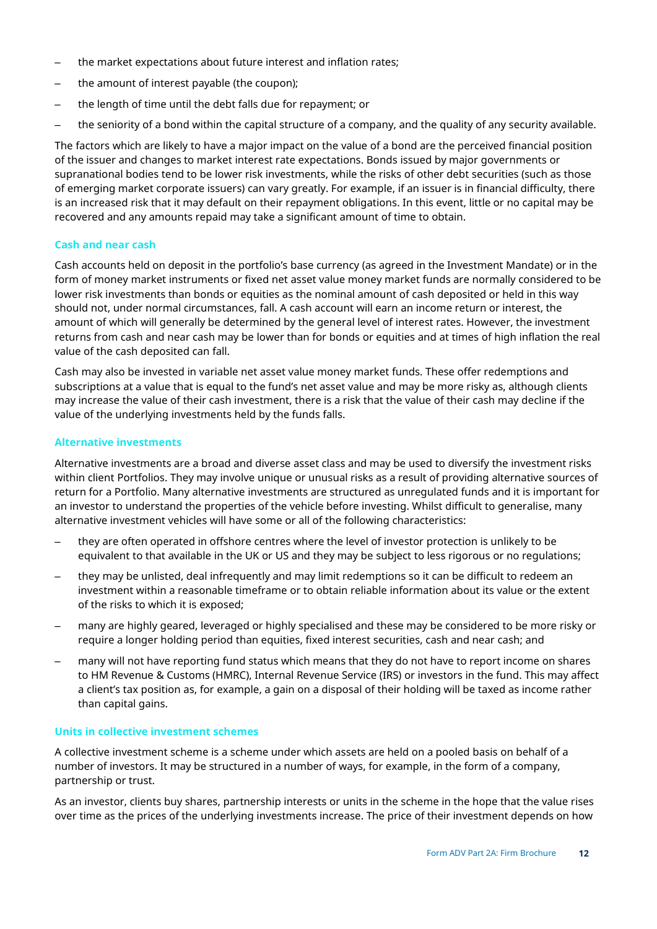- the market expectations about future interest and inflation rates;
- the amount of interest payable (the coupon);
- the length of time until the debt falls due for repayment; or
- the seniority of a bond within the capital structure of a company, and the quality of any security available.

The factors which are likely to have a major impact on the value of a bond are the perceived financial position of the issuer and changes to market interest rate expectations. Bonds issued by major governments or supranational bodies tend to be lower risk investments, while the risks of other debt securities (such as those of emerging market corporate issuers) can vary greatly. For example, if an issuer is in financial difficulty, there is an increased risk that it may default on their repayment obligations. In this event, little or no capital may be recovered and any amounts repaid may take a significant amount of time to obtain.

#### **Cash and near cash**

Cash accounts held on deposit in the portfolio's base currency (as agreed in the Investment Mandate) or in the form of money market instruments or fixed net asset value money market funds are normally considered to be lower risk investments than bonds or equities as the nominal amount of cash deposited or held in this way should not, under normal circumstances, fall. A cash account will earn an income return or interest, the amount of which will generally be determined by the general level of interest rates. However, the investment returns from cash and near cash may be lower than for bonds or equities and at times of high inflation the real value of the cash deposited can fall.

Cash may also be invested in variable net asset value money market funds. These offer redemptions and subscriptions at a value that is equal to the fund's net asset value and may be more risky as, although clients may increase the value of their cash investment, there is a risk that the value of their cash may decline if the value of the underlying investments held by the funds falls.

#### **Alternative investments**

Alternative investments are a broad and diverse asset class and may be used to diversify the investment risks within client Portfolios. They may involve unique or unusual risks as a result of providing alternative sources of return for a Portfolio. Many alternative investments are structured as unregulated funds and it is important for an investor to understand the properties of the vehicle before investing. Whilst difficult to generalise, many alternative investment vehicles will have some or all of the following characteristics:

- they are often operated in offshore centres where the level of investor protection is unlikely to be equivalent to that available in the UK or US and they may be subject to less rigorous or no regulations;
- they may be unlisted, deal infrequently and may limit redemptions so it can be difficult to redeem an investment within a reasonable timeframe or to obtain reliable information about its value or the extent of the risks to which it is exposed;
- many are highly geared, leveraged or highly specialised and these may be considered to be more risky or require a longer holding period than equities, fixed interest securities, cash and near cash; and
- many will not have reporting fund status which means that they do not have to report income on shares to HM Revenue & Customs (HMRC), Internal Revenue Service (IRS) or investors in the fund. This may affect a client's tax position as, for example, a gain on a disposal of their holding will be taxed as income rather than capital gains.

#### **Units in collective investment schemes**

A collective investment scheme is a scheme under which assets are held on a pooled basis on behalf of a number of investors. It may be structured in a number of ways, for example, in the form of a company, partnership or trust.

As an investor, clients buy shares, partnership interests or units in the scheme in the hope that the value rises over time as the prices of the underlying investments increase. The price of their investment depends on how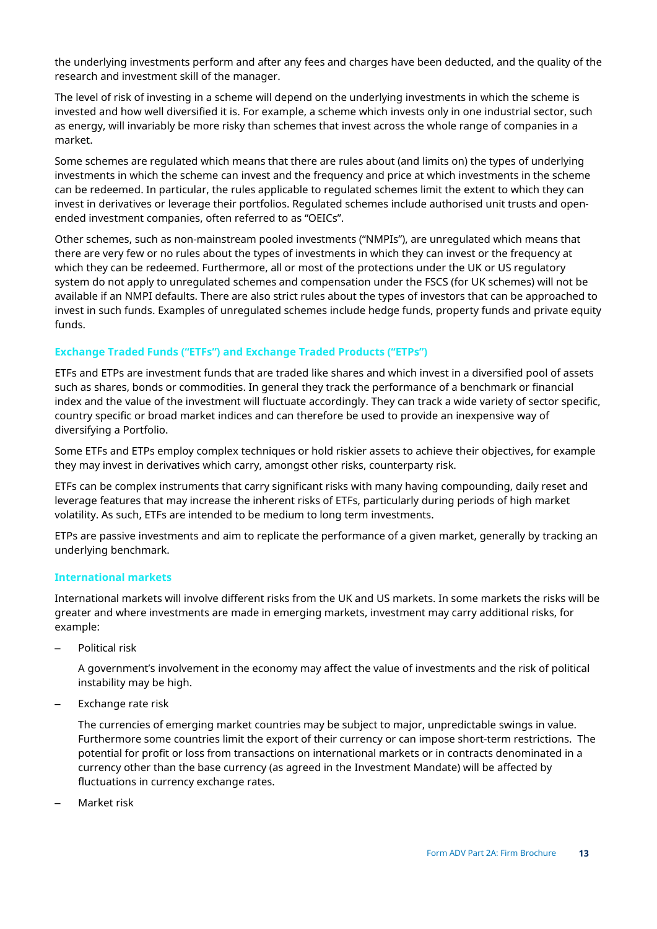the underlying investments perform and after any fees and charges have been deducted, and the quality of the research and investment skill of the manager.

The level of risk of investing in a scheme will depend on the underlying investments in which the scheme is invested and how well diversified it is. For example, a scheme which invests only in one industrial sector, such as energy, will invariably be more risky than schemes that invest across the whole range of companies in a market.

Some schemes are regulated which means that there are rules about (and limits on) the types of underlying investments in which the scheme can invest and the frequency and price at which investments in the scheme can be redeemed. In particular, the rules applicable to regulated schemes limit the extent to which they can invest in derivatives or leverage their portfolios. Regulated schemes include authorised unit trusts and openended investment companies, often referred to as "OEICs".

Other schemes, such as non-mainstream pooled investments ("NMPIs"), are unregulated which means that there are very few or no rules about the types of investments in which they can invest or the frequency at which they can be redeemed. Furthermore, all or most of the protections under the UK or US regulatory system do not apply to unregulated schemes and compensation under the FSCS (for UK schemes) will not be available if an NMPI defaults. There are also strict rules about the types of investors that can be approached to invest in such funds. Examples of unregulated schemes include hedge funds, property funds and private equity funds.

## **Exchange Traded Funds ("ETFs") and Exchange Traded Products ("ETPs")**

ETFs and ETPs are investment funds that are traded like shares and which invest in a diversified pool of assets such as shares, bonds or commodities. In general they track the performance of a benchmark or financial index and the value of the investment will fluctuate accordingly. They can track a wide variety of sector specific, country specific or broad market indices and can therefore be used to provide an inexpensive way of diversifying a Portfolio.

Some ETFs and ETPs employ complex techniques or hold riskier assets to achieve their objectives, for example they may invest in derivatives which carry, amongst other risks, counterparty risk.

ETFs can be complex instruments that carry significant risks with many having compounding, daily reset and leverage features that may increase the inherent risks of ETFs, particularly during periods of high market volatility. As such, ETFs are intended to be medium to long term investments.

ETPs are passive investments and aim to replicate the performance of a given market, generally by tracking an underlying benchmark.

### **International markets**

International markets will involve different risks from the UK and US markets. In some markets the risks will be greater and where investments are made in emerging markets, investment may carry additional risks, for example:

– Political risk

A government's involvement in the economy may affect the value of investments and the risk of political instability may be high.

– Exchange rate risk

The currencies of emerging market countries may be subject to major, unpredictable swings in value. Furthermore some countries limit the export of their currency or can impose short-term restrictions. The potential for profit or loss from transactions on international markets or in contracts denominated in a currency other than the base currency (as agreed in the Investment Mandate) will be affected by fluctuations in currency exchange rates.

– Market risk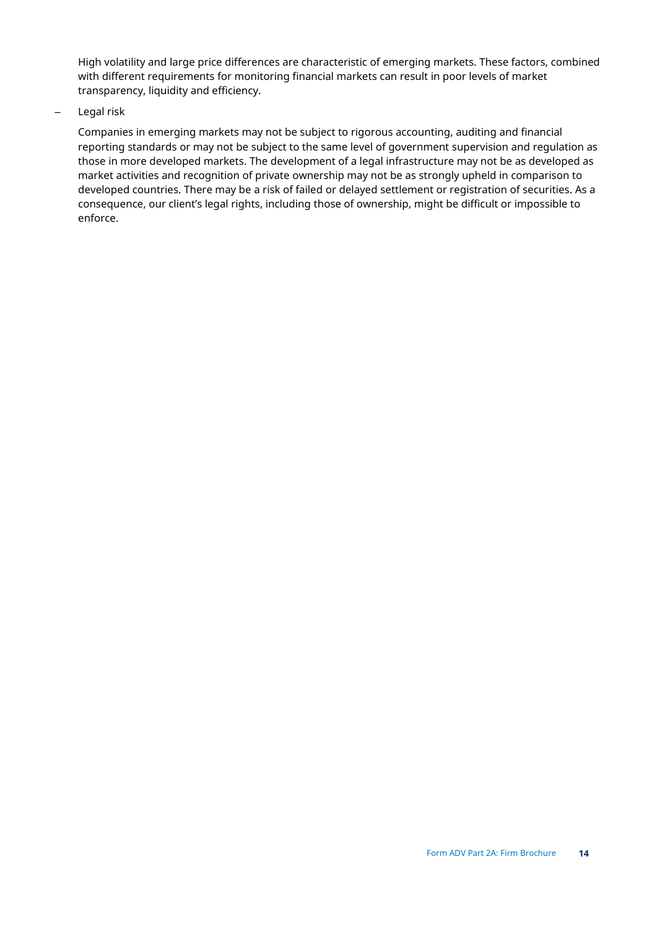High volatility and large price differences are characteristic of emerging markets. These factors, combined with different requirements for monitoring financial markets can result in poor levels of market transparency, liquidity and efficiency.

– Legal risk

Companies in emerging markets may not be subject to rigorous accounting, auditing and financial reporting standards or may not be subject to the same level of government supervision and regulation as those in more developed markets. The development of a legal infrastructure may not be as developed as market activities and recognition of private ownership may not be as strongly upheld in comparison to developed countries. There may be a risk of failed or delayed settlement or registration of securities. As a consequence, our client's legal rights, including those of ownership, might be difficult or impossible to enforce.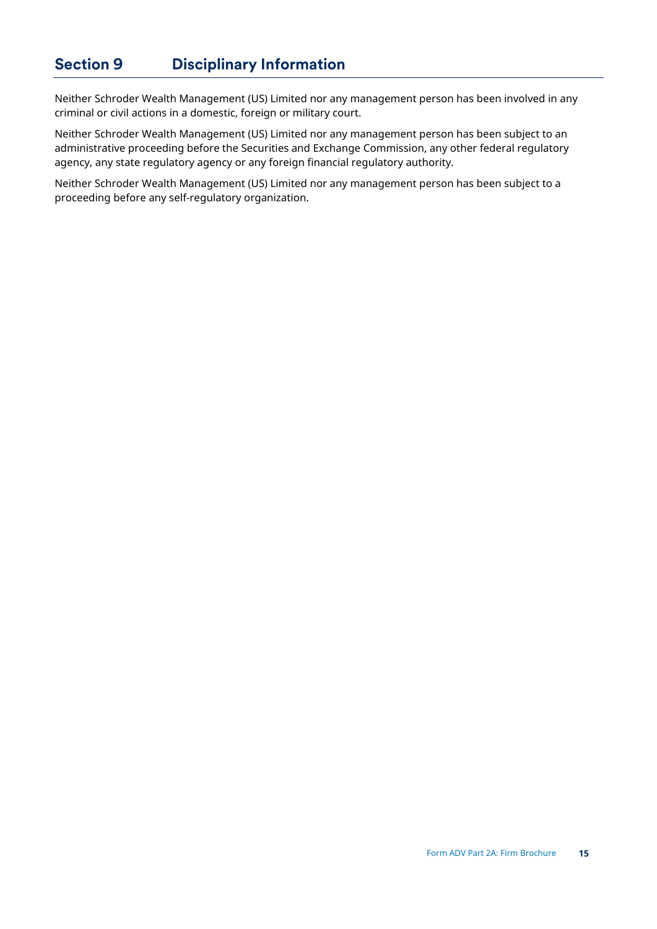<span id="page-14-0"></span>Neither Schroder Wealth Management (US) Limited nor any management person has been involved in any criminal or civil actions in a domestic, foreign or military court.

Neither Schroder Wealth Management (US) Limited nor any management person has been subject to an administrative proceeding before the Securities and Exchange Commission, any other federal regulatory agency, any state regulatory agency or any foreign financial regulatory authority.

Neither Schroder Wealth Management (US) Limited nor any management person has been subject to a proceeding before any self-regulatory organization.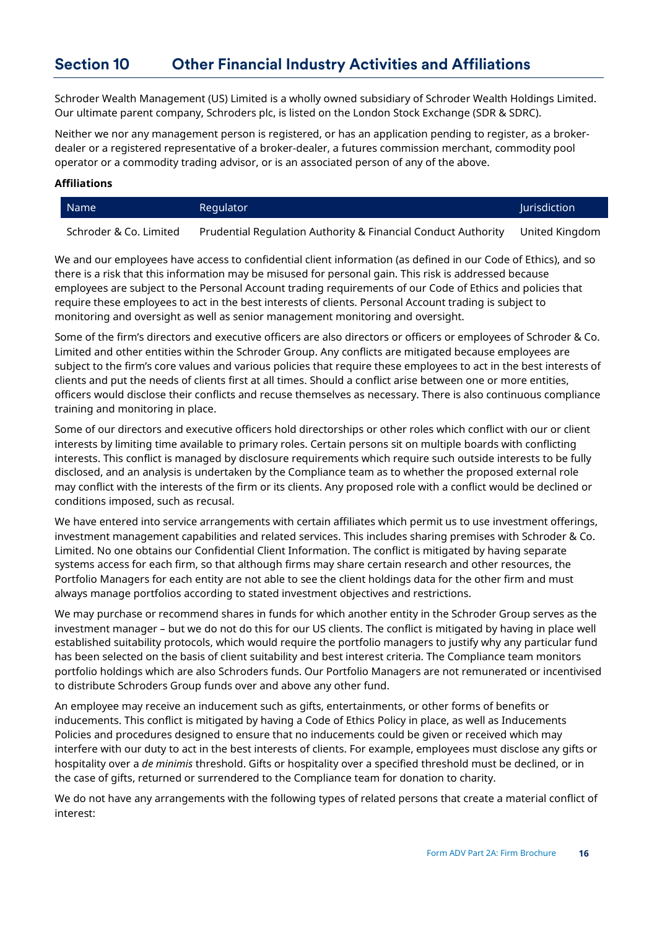## <span id="page-15-0"></span>**Section 10 Other Financial Industry Activities and Affiliations**

Schroder Wealth Management (US) Limited is a wholly owned subsidiary of Schroder Wealth Holdings Limited. Our ultimate parent company, Schroders plc, is listed on the London Stock Exchange (SDR & SDRC).

Neither we nor any management person is registered, or has an application pending to register, as a brokerdealer or a registered representative of a broker-dealer, a futures commission merchant, commodity pool operator or a commodity trading advisor, or is an associated person of any of the above.

#### **Affiliations**

| Name | Regulator | Jurisdiction |
|------|-----------|--------------|
|      |           |              |

Schroder & Co. Limited Prudential Regulation Authority & Financial Conduct Authority United Kingdom

We and our employees have access to confidential client information (as defined in our Code of Ethics), and so there is a risk that this information may be misused for personal gain. This risk is addressed because employees are subject to the Personal Account trading requirements of our Code of Ethics and policies that require these employees to act in the best interests of clients. Personal Account trading is subject to monitoring and oversight as well as senior management monitoring and oversight.

Some of the firm's directors and executive officers are also directors or officers or employees of Schroder & Co. Limited and other entities within the Schroder Group. Any conflicts are mitigated because employees are subject to the firm's core values and various policies that require these employees to act in the best interests of clients and put the needs of clients first at all times. Should a conflict arise between one or more entities, officers would disclose their conflicts and recuse themselves as necessary. There is also continuous compliance training and monitoring in place.

Some of our directors and executive officers hold directorships or other roles which conflict with our or client interests by limiting time available to primary roles. Certain persons sit on multiple boards with conflicting interests. This conflict is managed by disclosure requirements which require such outside interests to be fully disclosed, and an analysis is undertaken by the Compliance team as to whether the proposed external role may conflict with the interests of the firm or its clients. Any proposed role with a conflict would be declined or conditions imposed, such as recusal.

We have entered into service arrangements with certain affiliates which permit us to use investment offerings, investment management capabilities and related services. This includes sharing premises with Schroder & Co. Limited. No one obtains our Confidential Client Information. The conflict is mitigated by having separate systems access for each firm, so that although firms may share certain research and other resources, the Portfolio Managers for each entity are not able to see the client holdings data for the other firm and must always manage portfolios according to stated investment objectives and restrictions.

We may purchase or recommend shares in funds for which another entity in the Schroder Group serves as the investment manager – but we do not do this for our US clients. The conflict is mitigated by having in place well established suitability protocols, which would require the portfolio managers to justify why any particular fund has been selected on the basis of client suitability and best interest criteria. The Compliance team monitors portfolio holdings which are also Schroders funds. Our Portfolio Managers are not remunerated or incentivised to distribute Schroders Group funds over and above any other fund.

An employee may receive an inducement such as gifts, entertainments, or other forms of benefits or inducements. This conflict is mitigated by having a Code of Ethics Policy in place, as well as Inducements Policies and procedures designed to ensure that no inducements could be given or received which may interfere with our duty to act in the best interests of clients. For example, employees must disclose any gifts or hospitality over a *de minimis* threshold. Gifts or hospitality over a specified threshold must be declined, or in the case of gifts, returned or surrendered to the Compliance team for donation to charity.

We do not have any arrangements with the following types of related persons that create a material conflict of interest: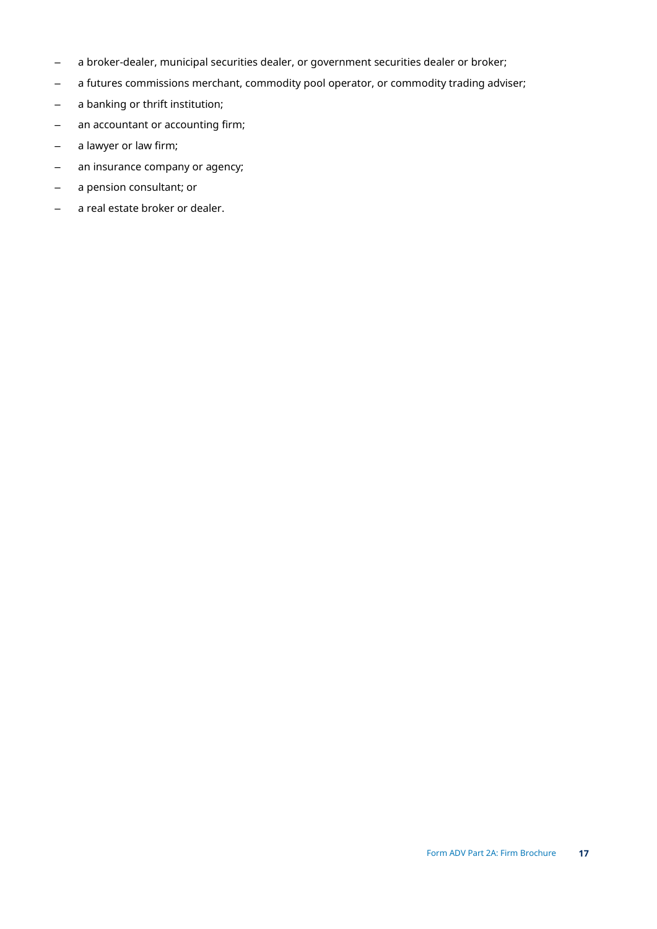- a broker-dealer, municipal securities dealer, or government securities dealer or broker;
- a futures commissions merchant, commodity pool operator, or commodity trading adviser;
- a banking or thrift institution;
- an accountant or accounting firm;
- a lawyer or law firm;
- an insurance company or agency;
- a pension consultant; or
- a real estate broker or dealer.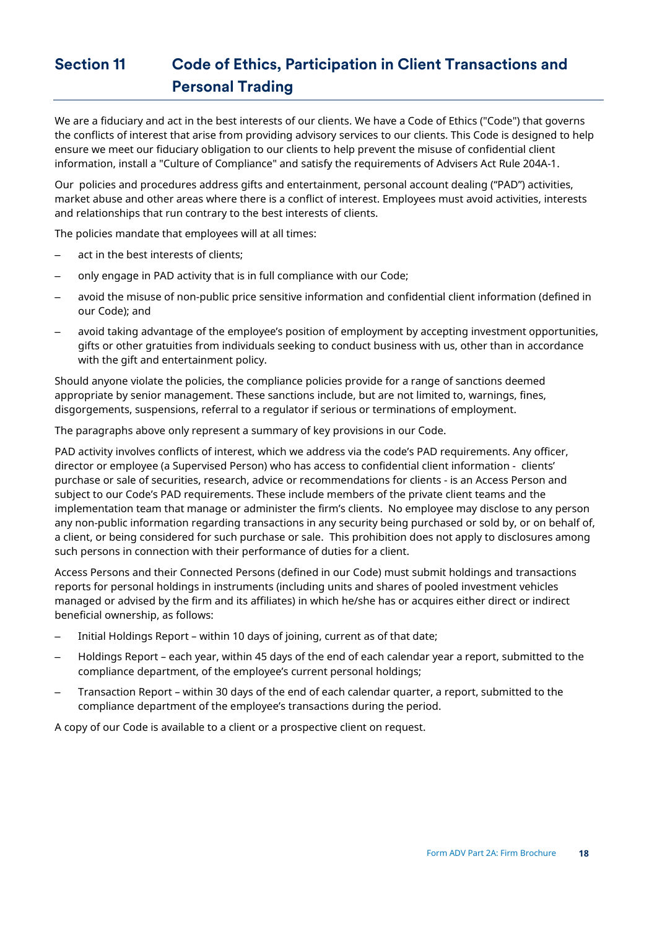## <span id="page-17-0"></span>**Section 11 Code of Ethics, Participation in Client Transactions and Personal Trading**

We are a fiduciary and act in the best interests of our clients. We have a Code of Ethics ("Code") that governs the conflicts of interest that arise from providing advisory services to our clients. This Code is designed to help ensure we meet our fiduciary obligation to our clients to help prevent the misuse of confidential client information, install a "Culture of Compliance" and satisfy the requirements of Advisers Act Rule 204A-1.

Our policies and procedures address gifts and entertainment, personal account dealing ("PAD") activities, market abuse and other areas where there is a conflict of interest. Employees must avoid activities, interests and relationships that run contrary to the best interests of clients.

The policies mandate that employees will at all times:

- act in the best interests of clients;
- only engage in PAD activity that is in full compliance with our Code;
- avoid the misuse of non-public price sensitive information and confidential client information (defined in our Code); and
- avoid taking advantage of the employee's position of employment by accepting investment opportunities, gifts or other gratuities from individuals seeking to conduct business with us, other than in accordance with the gift and entertainment policy.

Should anyone violate the policies, the compliance policies provide for a range of sanctions deemed appropriate by senior management. These sanctions include, but are not limited to, warnings, fines, disgorgements, suspensions, referral to a regulator if serious or terminations of employment.

The paragraphs above only represent a summary of key provisions in our Code.

PAD activity involves conflicts of interest, which we address via the code's PAD requirements. Any officer, director or employee (a Supervised Person) who has access to confidential client information - clients' purchase or sale of securities, research, advice or recommendations for clients - is an Access Person and subject to our Code's PAD requirements. These include members of the private client teams and the implementation team that manage or administer the firm's clients. No employee may disclose to any person any non-public information regarding transactions in any security being purchased or sold by, or on behalf of, a client, or being considered for such purchase or sale. This prohibition does not apply to disclosures among such persons in connection with their performance of duties for a client.

Access Persons and their Connected Persons (defined in our Code) must submit holdings and transactions reports for personal holdings in instruments (including units and shares of pooled investment vehicles managed or advised by the firm and its affiliates) in which he/she has or acquires either direct or indirect beneficial ownership, as follows:

- Initial Holdings Report within 10 days of joining, current as of that date;
- Holdings Report each year, within 45 days of the end of each calendar year a report, submitted to the compliance department, of the employee's current personal holdings;
- Transaction Report within 30 days of the end of each calendar quarter, a report, submitted to the compliance department of the employee's transactions during the period.

A copy of our Code is available to a client or a prospective client on request.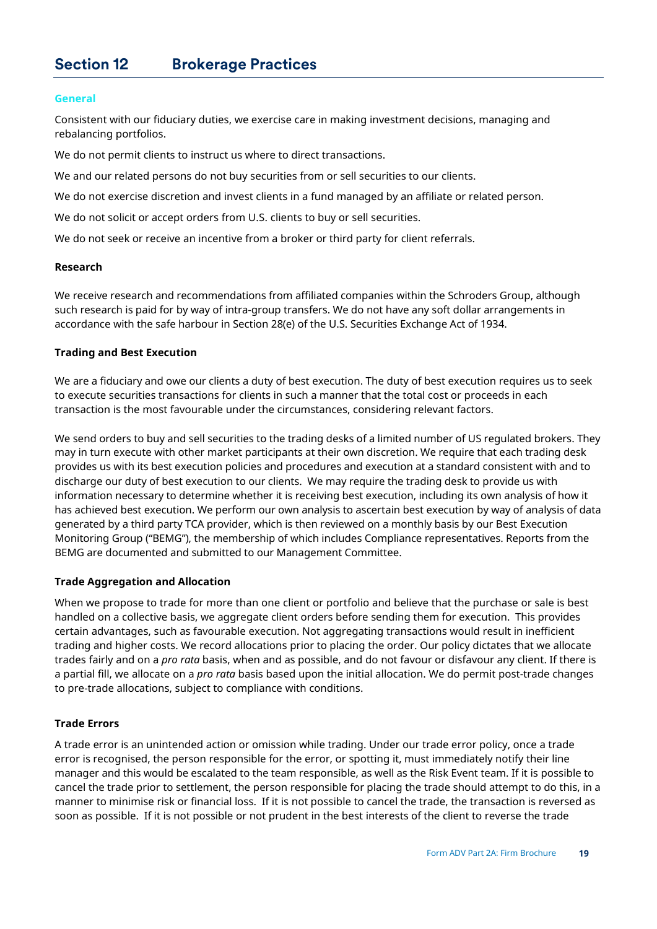#### <span id="page-18-0"></span>**General**

Consistent with our fiduciary duties, we exercise care in making investment decisions, managing and rebalancing portfolios.

We do not permit clients to instruct us where to direct transactions.

We and our related persons do not buy securities from or sell securities to our clients.

We do not exercise discretion and invest clients in a fund managed by an affiliate or related person.

We do not solicit or accept orders from U.S. clients to buy or sell securities.

We do not seek or receive an incentive from a broker or third party for client referrals.

#### **Research**

We receive research and recommendations from affiliated companies within the Schroders Group, although such research is paid for by way of intra-group transfers. We do not have any soft dollar arrangements in accordance with the safe harbour in Section 28(e) of the U.S. Securities Exchange Act of 1934.

#### **Trading and Best Execution**

We are a fiduciary and owe our clients a duty of best execution. The duty of best execution requires us to seek to execute securities transactions for clients in such a manner that the total cost or proceeds in each transaction is the most favourable under the circumstances, considering relevant factors.

We send orders to buy and sell securities to the trading desks of a limited number of US regulated brokers. They may in turn execute with other market participants at their own discretion. We require that each trading desk provides us with its best execution policies and procedures and execution at a standard consistent with and to discharge our duty of best execution to our clients. We may require the trading desk to provide us with information necessary to determine whether it is receiving best execution, including its own analysis of how it has achieved best execution. We perform our own analysis to ascertain best execution by way of analysis of data generated by a third party TCA provider, which is then reviewed on a monthly basis by our Best Execution Monitoring Group ("BEMG"), the membership of which includes Compliance representatives. Reports from the BEMG are documented and submitted to our Management Committee.

#### **Trade Aggregation and Allocation**

When we propose to trade for more than one client or portfolio and believe that the purchase or sale is best handled on a collective basis, we aggregate client orders before sending them for execution. This provides certain advantages, such as favourable execution. Not aggregating transactions would result in inefficient trading and higher costs. We record allocations prior to placing the order. Our policy dictates that we allocate trades fairly and on a *pro rata* basis, when and as possible, and do not favour or disfavour any client. If there is a partial fill, we allocate on a *pro rata* basis based upon the initial allocation. We do permit post-trade changes to pre-trade allocations, subject to compliance with conditions.

#### **Trade Errors**

A trade error is an unintended action or omission while trading. Under our trade error policy, once a trade error is recognised, the person responsible for the error, or spotting it, must immediately notify their line manager and this would be escalated to the team responsible, as well as the Risk Event team. If it is possible to cancel the trade prior to settlement, the person responsible for placing the trade should attempt to do this, in a manner to minimise risk or financial loss. If it is not possible to cancel the trade, the transaction is reversed as soon as possible. If it is not possible or not prudent in the best interests of the client to reverse the trade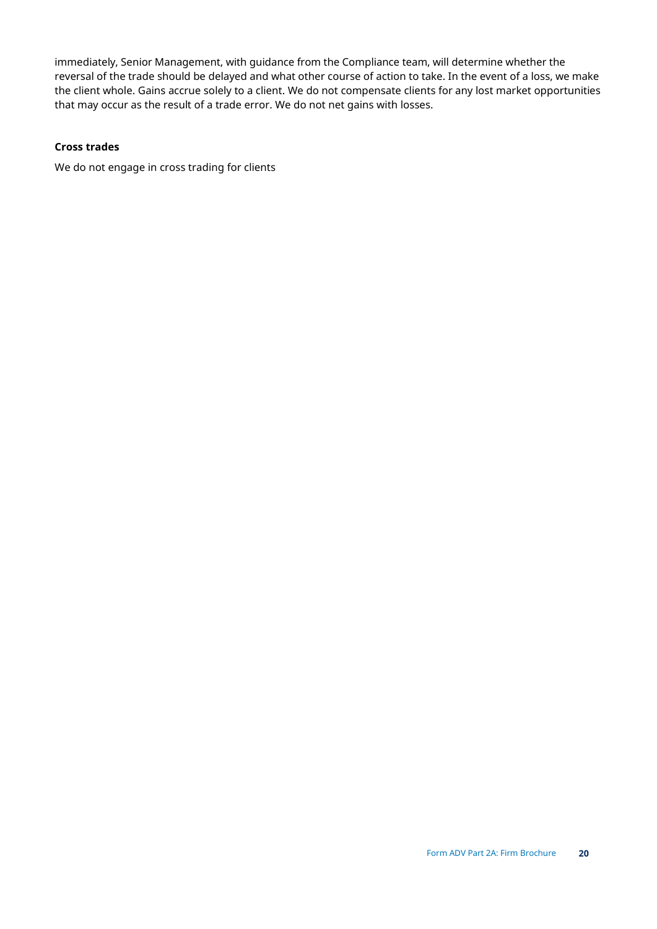immediately, Senior Management, with guidance from the Compliance team, will determine whether the reversal of the trade should be delayed and what other course of action to take. In the event of a loss, we make the client whole. Gains accrue solely to a client. We do not compensate clients for any lost market opportunities that may occur as the result of a trade error. We do not net gains with losses.

## **Cross trades**

We do not engage in cross trading for clients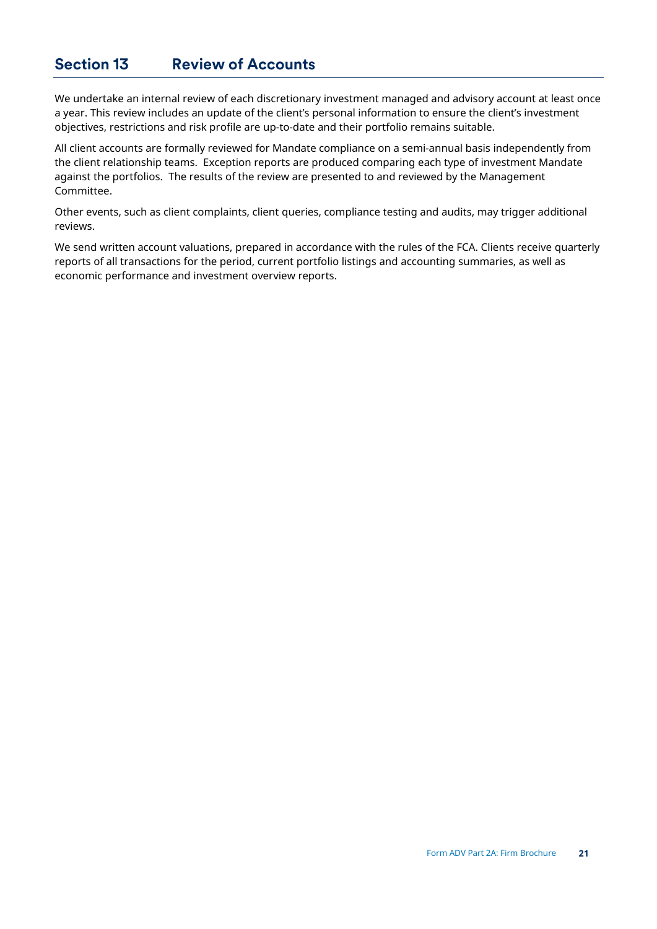## <span id="page-20-0"></span>**Section 13 Review of Accounts**

We undertake an internal review of each discretionary investment managed and advisory account at least once a year. This review includes an update of the client's personal information to ensure the client's investment objectives, restrictions and risk profile are up-to-date and their portfolio remains suitable.

All client accounts are formally reviewed for Mandate compliance on a semi-annual basis independently from the client relationship teams. Exception reports are produced comparing each type of investment Mandate against the portfolios. The results of the review are presented to and reviewed by the Management Committee.

Other events, such as client complaints, client queries, compliance testing and audits, may trigger additional reviews.

We send written account valuations, prepared in accordance with the rules of the FCA. Clients receive quarterly reports of all transactions for the period, current portfolio listings and accounting summaries, as well as economic performance and investment overview reports.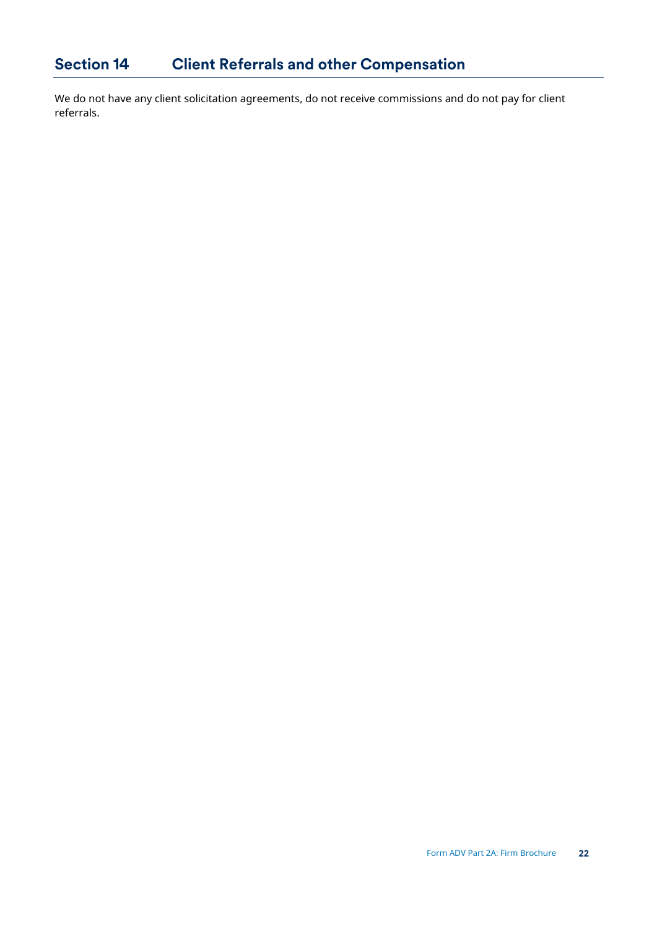<span id="page-21-0"></span>We do not have any client solicitation agreements, do not receive commissions and do not pay for client referrals.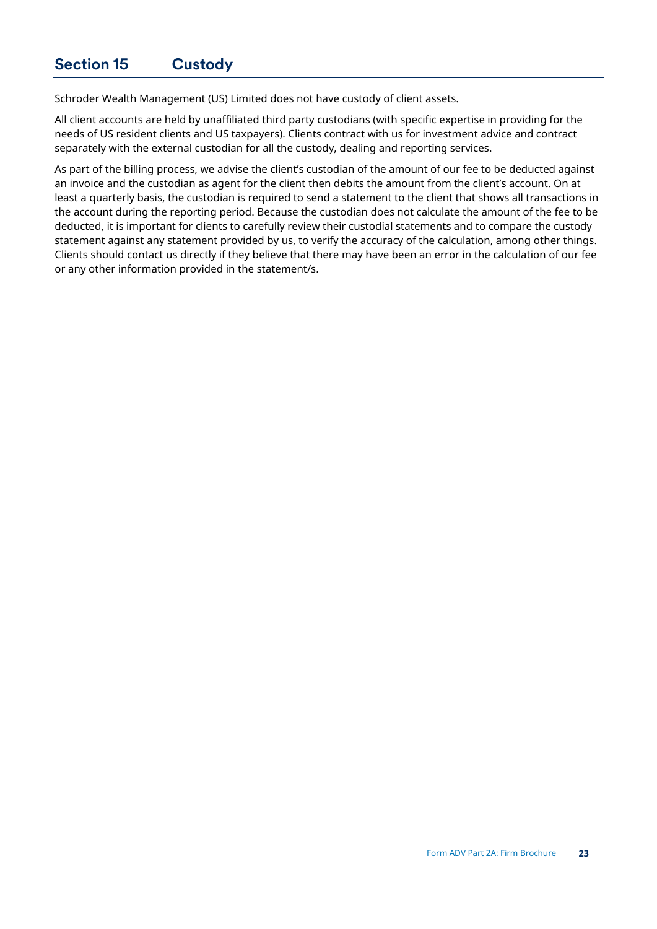<span id="page-22-0"></span>Schroder Wealth Management (US) Limited does not have custody of client assets.

All client accounts are held by unaffiliated third party custodians (with specific expertise in providing for the needs of US resident clients and US taxpayers). Clients contract with us for investment advice and contract separately with the external custodian for all the custody, dealing and reporting services.

As part of the billing process, we advise the client's custodian of the amount of our fee to be deducted against an invoice and the custodian as agent for the client then debits the amount from the client's account. On at least a quarterly basis, the custodian is required to send a statement to the client that shows all transactions in the account during the reporting period. Because the custodian does not calculate the amount of the fee to be deducted, it is important for clients to carefully review their custodial statements and to compare the custody statement against any statement provided by us, to verify the accuracy of the calculation, among other things. Clients should contact us directly if they believe that there may have been an error in the calculation of our fee or any other information provided in the statement/s.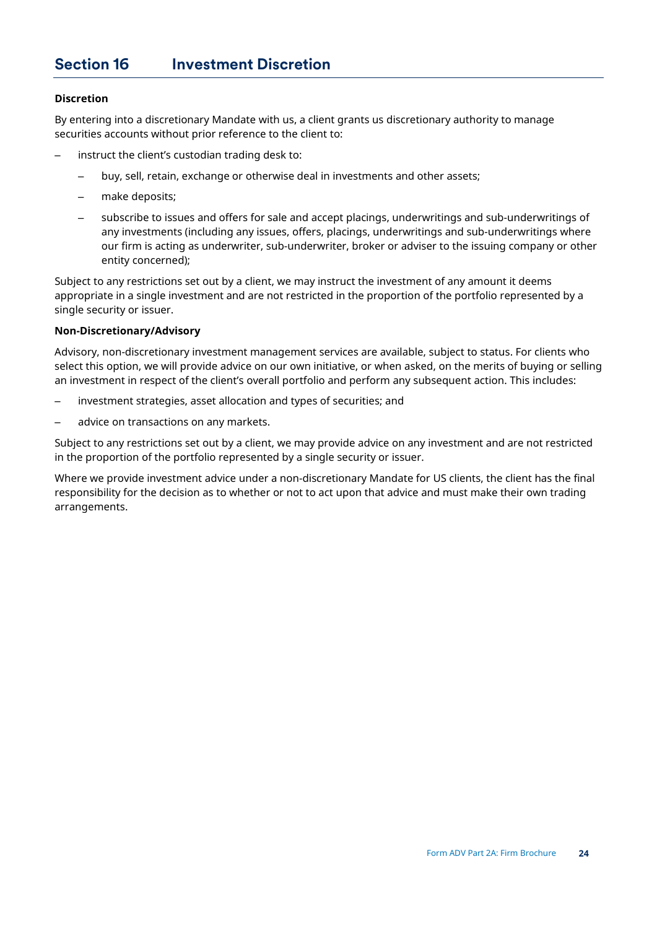### <span id="page-23-0"></span>**Discretion**

By entering into a discretionary Mandate with us, a client grants us discretionary authority to manage securities accounts without prior reference to the client to:

- instruct the client's custodian trading desk to:
	- buy, sell, retain, exchange or otherwise deal in investments and other assets;
	- make deposits;
	- subscribe to issues and offers for sale and accept placings, underwritings and sub-underwritings of any investments (including any issues, offers, placings, underwritings and sub-underwritings where our firm is acting as underwriter, sub-underwriter, broker or adviser to the issuing company or other entity concerned);

Subject to any restrictions set out by a client, we may instruct the investment of any amount it deems appropriate in a single investment and are not restricted in the proportion of the portfolio represented by a single security or issuer.

#### **Non-Discretionary/Advisory**

Advisory, non-discretionary investment management services are available, subject to status. For clients who select this option, we will provide advice on our own initiative, or when asked, on the merits of buying or selling an investment in respect of the client's overall portfolio and perform any subsequent action. This includes:

- investment strategies, asset allocation and types of securities; and
- advice on transactions on any markets.

Subject to any restrictions set out by a client, we may provide advice on any investment and are not restricted in the proportion of the portfolio represented by a single security or issuer.

Where we provide investment advice under a non-discretionary Mandate for US clients, the client has the final responsibility for the decision as to whether or not to act upon that advice and must make their own trading arrangements.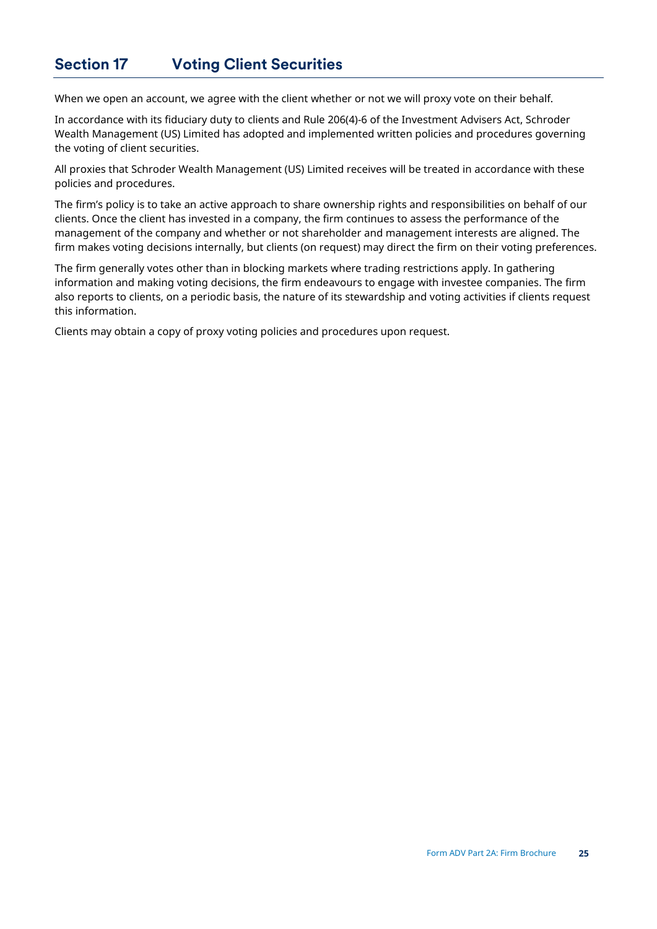## <span id="page-24-0"></span>**Section 17 Voting Client Securities**

When we open an account, we agree with the client whether or not we will proxy vote on their behalf.

In accordance with its fiduciary duty to clients and Rule 206(4)-6 of the Investment Advisers Act, Schroder Wealth Management (US) Limited has adopted and implemented written policies and procedures governing the voting of client securities.

All proxies that Schroder Wealth Management (US) Limited receives will be treated in accordance with these policies and procedures.

The firm's policy is to take an active approach to share ownership rights and responsibilities on behalf of our clients. Once the client has invested in a company, the firm continues to assess the performance of the management of the company and whether or not shareholder and management interests are aligned. The firm makes voting decisions internally, but clients (on request) may direct the firm on their voting preferences.

The firm generally votes other than in blocking markets where trading restrictions apply. In gathering information and making voting decisions, the firm endeavours to engage with investee companies. The firm also reports to clients, on a periodic basis, the nature of its stewardship and voting activities if clients request this information.

Clients may obtain a copy of proxy voting policies and procedures upon request.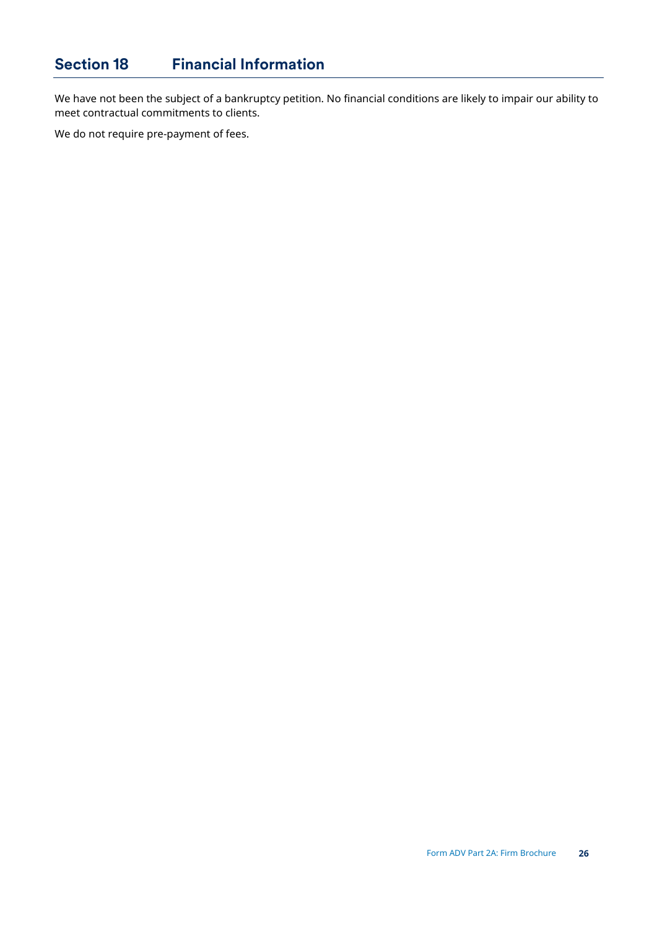<span id="page-25-0"></span>We have not been the subject of a bankruptcy petition. No financial conditions are likely to impair our ability to meet contractual commitments to clients.

We do not require pre-payment of fees.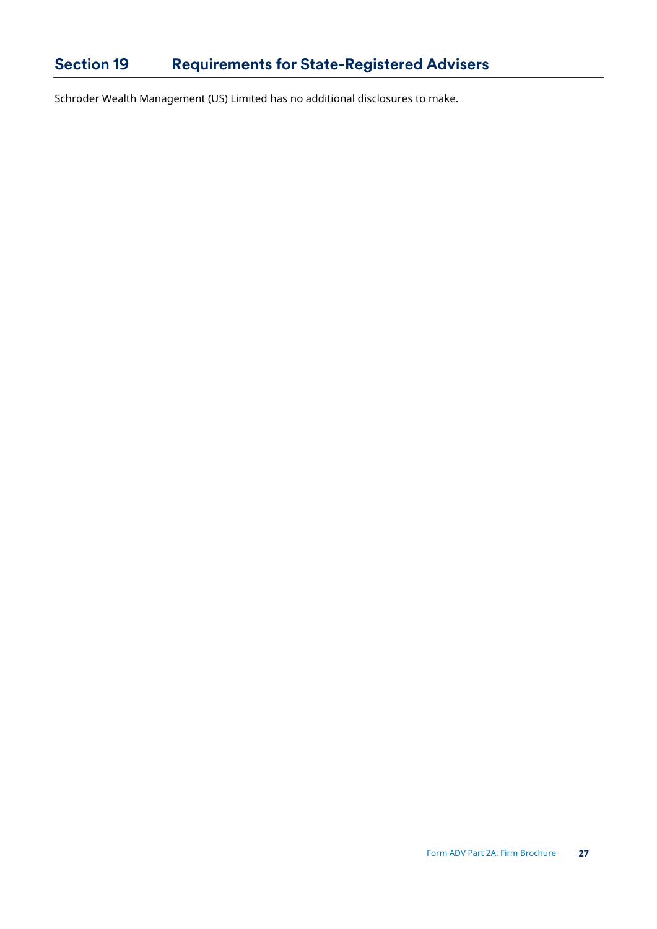## <span id="page-26-0"></span>**Section 19 Requirements for State-Registered Advisers**

Schroder Wealth Management (US) Limited has no additional disclosures to make.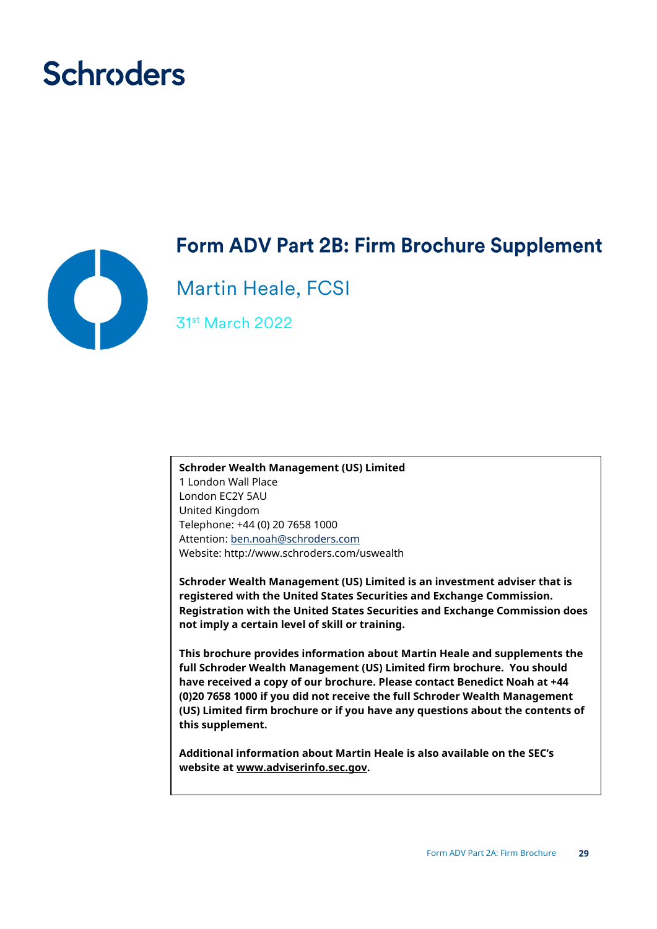# **Schroders**



## **Form ADV Part 2B: Firm Brochure Supplement**

Martin Heale, FCSI

31st March 2022

**Schroder Wealth Management (US) Limited** 1 London Wall Place London EC2Y 5AU United Kingdom Telephone: +44 (0) 20 7658 1000 Attention: [ben.noah@schroders.com](mailto:ben.noah@schroders.com)  Website: http://www.schroders.com/uswealth

**Schroder Wealth Management (US) Limited is an investment adviser that is registered with the United States Securities and Exchange Commission. Registration with the United States Securities and Exchange Commission does not imply a certain level of skill or training.**

**This brochure provides information about Martin Heale and supplements the full Schroder Wealth Management (US) Limited firm brochure. You should have received a copy of our brochure. Please contact Benedict Noah at +44 (0)20 7658 1000 if you did not receive the full Schroder Wealth Management (US) Limited firm brochure or if you have any questions about the contents of this supplement.** 

**Additional information about Martin Heale is also available on the SEC's website at www.adviserinfo.sec.gov.**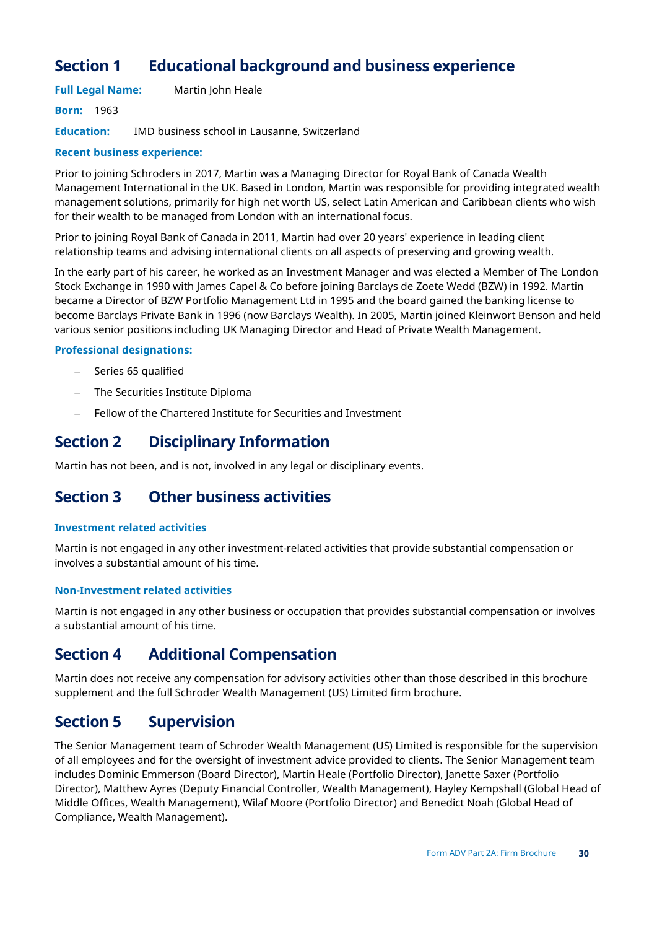## **Section 1 Educational background and business experience**

**Full Legal Name:** Martin John Heale

**Born:** 1963

**Education:** IMD business school in Lausanne, Switzerland

### **Recent business experience:**

Prior to joining Schroders in 2017, Martin was a Managing Director for Royal Bank of Canada Wealth Management International in the UK. Based in London, Martin was responsible for providing integrated wealth management solutions, primarily for high net worth US, select Latin American and Caribbean clients who wish for their wealth to be managed from London with an international focus.

Prior to joining Royal Bank of Canada in 2011, Martin had over 20 years' experience in leading client relationship teams and advising international clients on all aspects of preserving and growing wealth.

In the early part of his career, he worked as an Investment Manager and was elected a Member of The London Stock Exchange in 1990 with James Capel & Co before joining Barclays de Zoete Wedd (BZW) in 1992. Martin became a Director of BZW Portfolio Management Ltd in 1995 and the board gained the banking license to become Barclays Private Bank in 1996 (now Barclays Wealth). In 2005, Martin joined Kleinwort Benson and held various senior positions including UK Managing Director and Head of Private Wealth Management.

## **Professional designations:**

- Series 65 qualified
- The Securities Institute Diploma
- Fellow of the Chartered Institute for Securities and Investment

## **Section 2 Disciplinary Information**

Martin has not been, and is not, involved in any legal or disciplinary events.

## **Section 3 Other business activities**

### **Investment related activities**

Martin is not engaged in any other investment-related activities that provide substantial compensation or involves a substantial amount of his time.

### **Non-Investment related activities**

Martin is not engaged in any other business or occupation that provides substantial compensation or involves a substantial amount of his time.

## **Section 4 Additional Compensation**

Martin does not receive any compensation for advisory activities other than those described in this brochure supplement and the full Schroder Wealth Management (US) Limited firm brochure.

## **Section 5 Supervision**

The Senior Management team of Schroder Wealth Management (US) Limited is responsible for the supervision of all employees and for the oversight of investment advice provided to clients. The Senior Management team includes Dominic Emmerson (Board Director), Martin Heale (Portfolio Director), Janette Saxer (Portfolio Director), Matthew Ayres (Deputy Financial Controller, Wealth Management), Hayley Kempshall (Global Head of Middle Offices, Wealth Management), Wilaf Moore (Portfolio Director) and Benedict Noah (Global Head of Compliance, Wealth Management).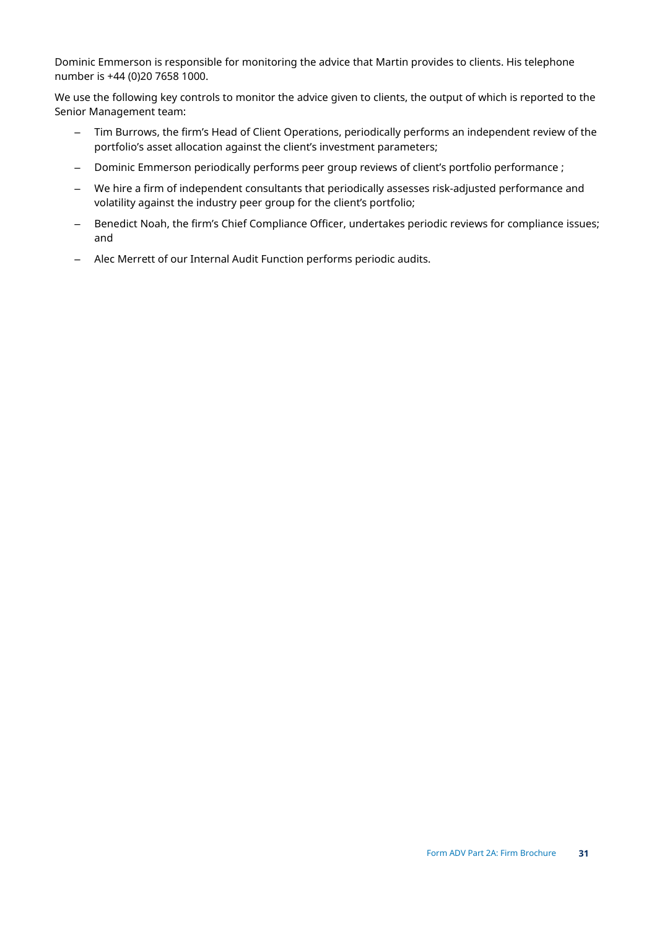Dominic Emmerson is responsible for monitoring the advice that Martin provides to clients. His telephone number is +44 (0)20 7658 1000.

We use the following key controls to monitor the advice given to clients, the output of which is reported to the Senior Management team:

- Tim Burrows, the firm's Head of Client Operations, periodically performs an independent review of the portfolio's asset allocation against the client's investment parameters;
- Dominic Emmerson periodically performs peer group reviews of client's portfolio performance ;
- We hire a firm of independent consultants that periodically assesses risk-adjusted performance and volatility against the industry peer group for the client's portfolio;
- Benedict Noah, the firm's Chief Compliance Officer, undertakes periodic reviews for compliance issues; and
- Alec Merrett of our Internal Audit Function performs periodic audits.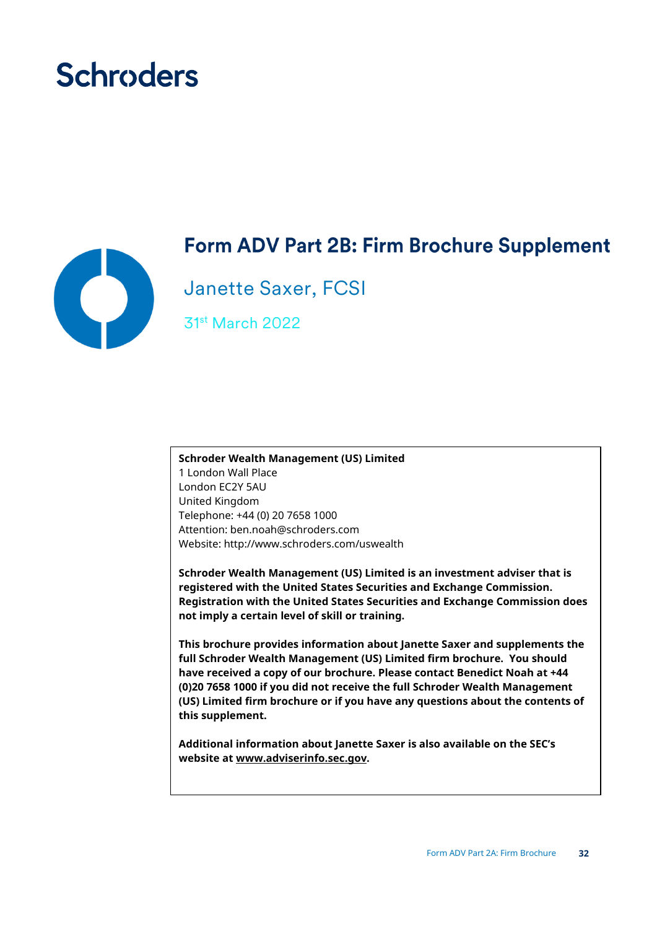# **Schroders**



## **Form ADV Part 2B: Firm Brochure Supplement**

Janette Saxer, FCSI

31st March 2022

## **Schroder Wealth Management (US) Limited** 1 London Wall Place London EC2Y 5AU United Kingdom Telephone: +44 (0) 20 7658 1000 Attention: ben.noah@schroders.com Website: http://www.schroders.com/uswealth

**Schroder Wealth Management (US) Limited is an investment adviser that is registered with the United States Securities and Exchange Commission. Registration with the United States Securities and Exchange Commission does not imply a certain level of skill or training.**

**This brochure provides information about Janette Saxer and supplements the full Schroder Wealth Management (US) Limited firm brochure. You should have received a copy of our brochure. Please contact Benedict Noah at +44 (0)20 7658 1000 if you did not receive the full Schroder Wealth Management (US) Limited firm brochure or if you have any questions about the contents of this supplement.** 

**Additional information about Janette Saxer is also available on the SEC's website at www.adviserinfo.sec.gov.**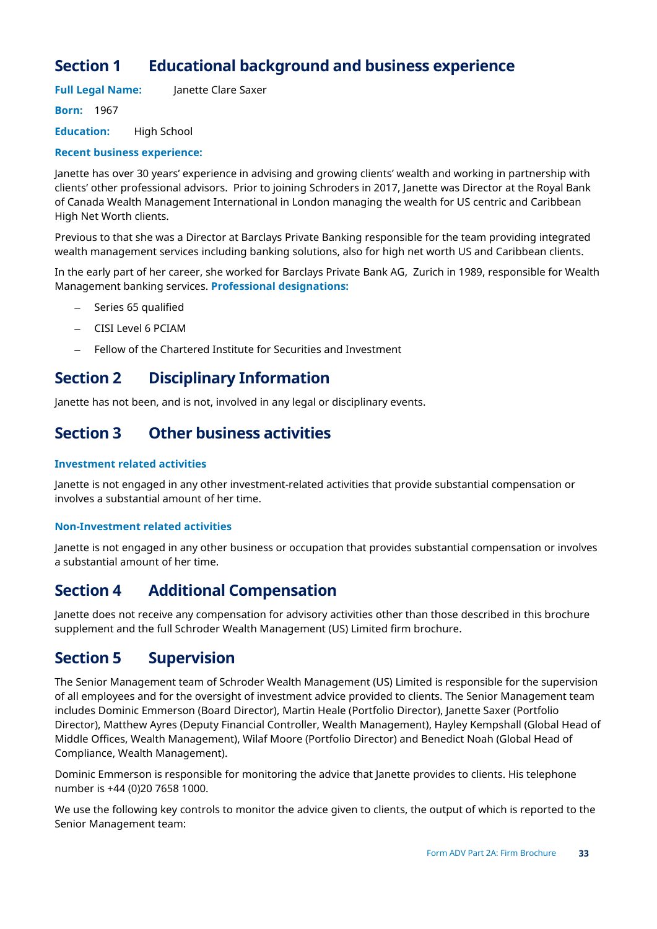## **Section 1 Educational background and business experience**

**Full Legal Name:** Janette Clare Saxer

**Born:** 1967

**Education:** High School

### **Recent business experience:**

Janette has over 30 years' experience in advising and growing clients' wealth and working in partnership with clients' other professional advisors. Prior to joining Schroders in 2017, Janette was Director at the Royal Bank of Canada Wealth Management International in London managing the wealth for US centric and Caribbean High Net Worth clients.

Previous to that she was a Director at Barclays Private Banking responsible for the team providing integrated wealth management services including banking solutions, also for high net worth US and Caribbean clients.

In the early part of her career, she worked for Barclays Private Bank AG, Zurich in 1989, responsible for Wealth Management banking services. **Professional designations:**

- Series 65 qualified
- CISI Level 6 PCIAM
- Fellow of the Chartered Institute for Securities and Investment

## **Section 2 Disciplinary Information**

Janette has not been, and is not, involved in any legal or disciplinary events.

## **Section 3 Other business activities**

### **Investment related activities**

Janette is not engaged in any other investment-related activities that provide substantial compensation or involves a substantial amount of her time.

### **Non-Investment related activities**

Janette is not engaged in any other business or occupation that provides substantial compensation or involves a substantial amount of her time.

## **Section 4 Additional Compensation**

Janette does not receive any compensation for advisory activities other than those described in this brochure supplement and the full Schroder Wealth Management (US) Limited firm brochure.

## **Section 5 Supervision**

The Senior Management team of Schroder Wealth Management (US) Limited is responsible for the supervision of all employees and for the oversight of investment advice provided to clients. The Senior Management team includes Dominic Emmerson (Board Director), Martin Heale (Portfolio Director), Janette Saxer (Portfolio Director), Matthew Ayres (Deputy Financial Controller, Wealth Management), Hayley Kempshall (Global Head of Middle Offices, Wealth Management), Wilaf Moore (Portfolio Director) and Benedict Noah (Global Head of Compliance, Wealth Management).

Dominic Emmerson is responsible for monitoring the advice that Janette provides to clients. His telephone number is +44 (0)20 7658 1000.

We use the following key controls to monitor the advice given to clients, the output of which is reported to the Senior Management team: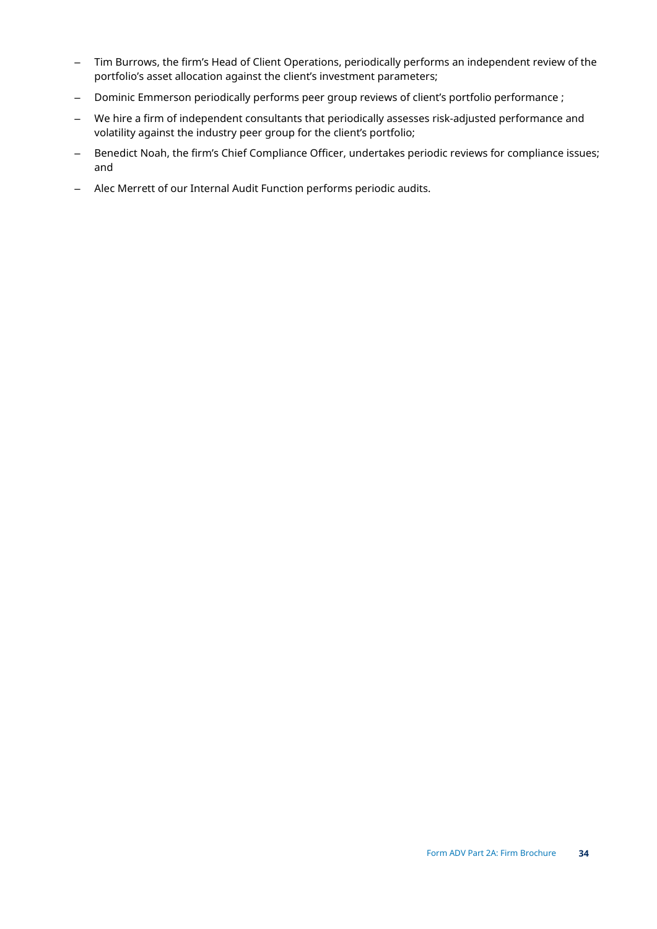- Tim Burrows, the firm's Head of Client Operations, periodically performs an independent review of the portfolio's asset allocation against the client's investment parameters;
- Dominic Emmerson periodically performs peer group reviews of client's portfolio performance ;
- We hire a firm of independent consultants that periodically assesses risk-adjusted performance and volatility against the industry peer group for the client's portfolio;
- Benedict Noah, the firm's Chief Compliance Officer, undertakes periodic reviews for compliance issues; and
- Alec Merrett of our Internal Audit Function performs periodic audits.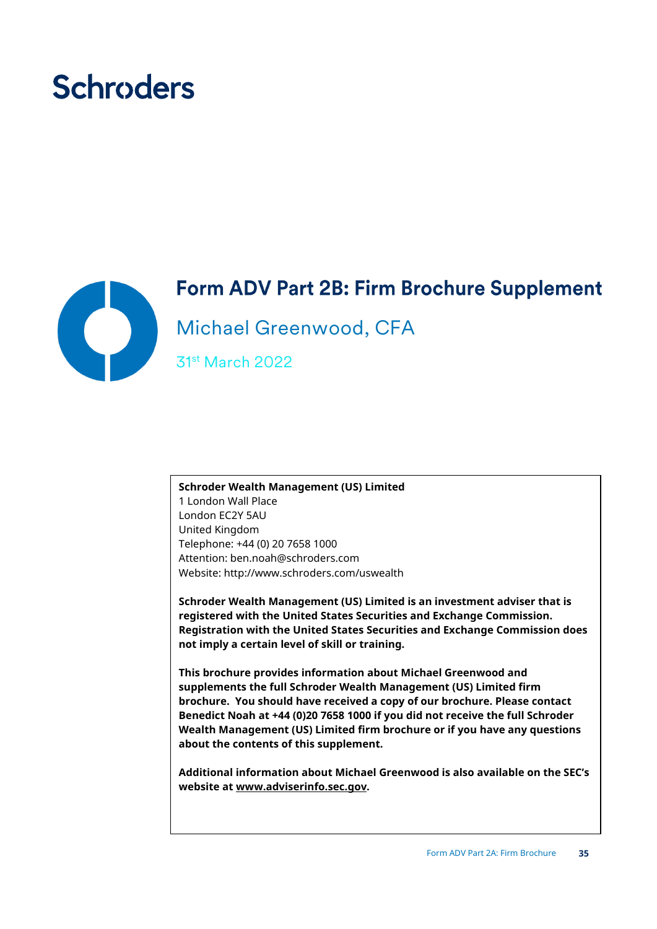# **Schroders**



# Form ADV Part 2B: Firm Brochure Supplement

Michael Greenwood, CFA

31st March 2022

**Schroder Wealth Management (US) Limited** 1 London Wall Place London EC2Y 5AU United Kingdom Telephone: +44 (0) 20 7658 1000 Attention: ben.noah@schroders.com Website: http://www.schroders.com/uswealth

**Schroder Wealth Management (US) Limited is an investment adviser that is registered with the United States Securities and Exchange Commission. Registration with the United States Securities and Exchange Commission does not imply a certain level of skill or training.**

**This brochure provides information about Michael Greenwood and supplements the full Schroder Wealth Management (US) Limited firm brochure. You should have received a copy of our brochure. Please contact Benedict Noah at +44 (0)20 7658 1000 if you did not receive the full Schroder Wealth Management (US) Limited firm brochure or if you have any questions about the contents of this supplement.** 

**Additional information about Michael Greenwood is also available on the SEC's website at www.adviserinfo.sec.gov.**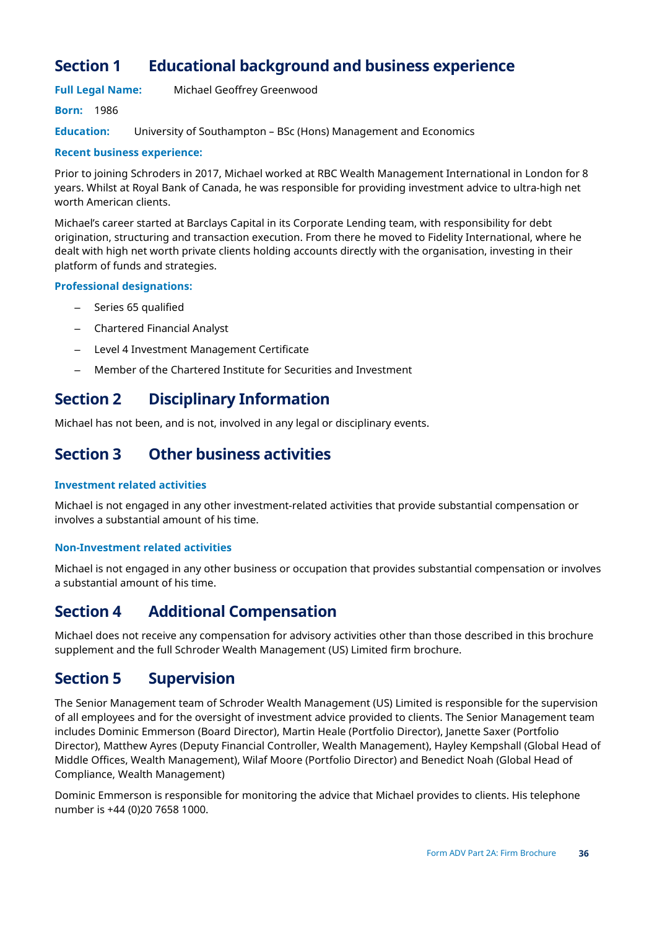## **Section 1 Educational background and business experience**

## **Full Legal Name:** Michael Geoffrey Greenwood

## **Born:** 1986

**Education:** University of Southampton – BSc (Hons) Management and Economics

### **Recent business experience:**

Prior to joining Schroders in 2017, Michael worked at RBC Wealth Management International in London for 8 years. Whilst at Royal Bank of Canada, he was responsible for providing investment advice to ultra-high net worth American clients.

Michael's career started at Barclays Capital in its Corporate Lending team, with responsibility for debt origination, structuring and transaction execution. From there he moved to Fidelity International, where he dealt with high net worth private clients holding accounts directly with the organisation, investing in their platform of funds and strategies.

### **Professional designations:**

- Series 65 qualified
- Chartered Financial Analyst
- Level 4 Investment Management Certificate
- Member of the Chartered Institute for Securities and Investment

## **Section 2 Disciplinary Information**

Michael has not been, and is not, involved in any legal or disciplinary events.

## **Section 3 Other business activities**

### **Investment related activities**

Michael is not engaged in any other investment-related activities that provide substantial compensation or involves a substantial amount of his time.

## **Non-Investment related activities**

Michael is not engaged in any other business or occupation that provides substantial compensation or involves a substantial amount of his time.

## **Section 4 Additional Compensation**

Michael does not receive any compensation for advisory activities other than those described in this brochure supplement and the full Schroder Wealth Management (US) Limited firm brochure.

## **Section 5 Supervision**

The Senior Management team of Schroder Wealth Management (US) Limited is responsible for the supervision of all employees and for the oversight of investment advice provided to clients. The Senior Management team includes Dominic Emmerson (Board Director), Martin Heale (Portfolio Director), Janette Saxer (Portfolio Director), Matthew Ayres (Deputy Financial Controller, Wealth Management), Hayley Kempshall (Global Head of Middle Offices, Wealth Management), Wilaf Moore (Portfolio Director) and Benedict Noah (Global Head of Compliance, Wealth Management)

Dominic Emmerson is responsible for monitoring the advice that Michael provides to clients. His telephone number is +44 (0)20 7658 1000.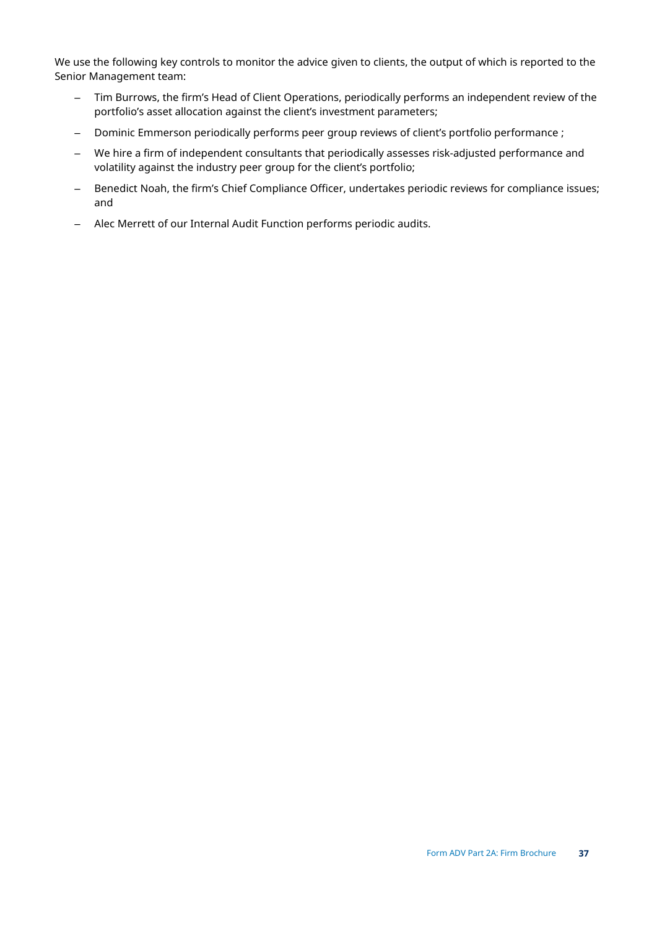We use the following key controls to monitor the advice given to clients, the output of which is reported to the Senior Management team:

- Tim Burrows, the firm's Head of Client Operations, periodically performs an independent review of the portfolio's asset allocation against the client's investment parameters;
- Dominic Emmerson periodically performs peer group reviews of client's portfolio performance ;
- We hire a firm of independent consultants that periodically assesses risk-adjusted performance and volatility against the industry peer group for the client's portfolio;
- Benedict Noah, the firm's Chief Compliance Officer, undertakes periodic reviews for compliance issues; and
- Alec Merrett of our Internal Audit Function performs periodic audits.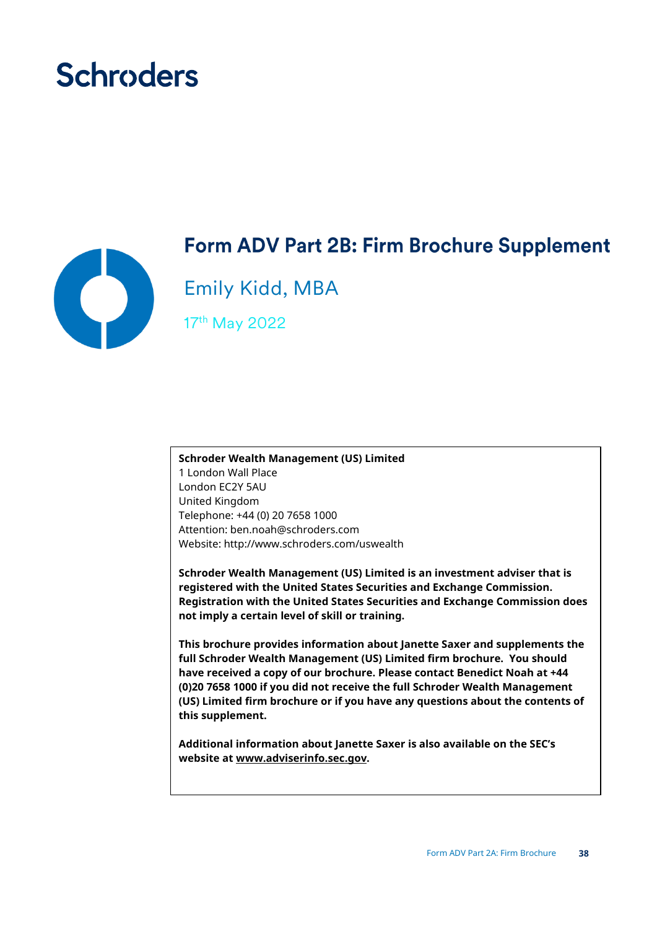# **Schroders**



## **Form ADV Part 2B: Firm Brochure Supplement**

Emily Kidd, MBA

17th May 2022

**Schroder Wealth Management (US) Limited** 1 London Wall Place London EC2Y 5AU United Kingdom Telephone: +44 (0) 20 7658 1000 Attention: ben.noah@schroders.com Website: http://www.schroders.com/uswealth

**Schroder Wealth Management (US) Limited is an investment adviser that is registered with the United States Securities and Exchange Commission. Registration with the United States Securities and Exchange Commission does not imply a certain level of skill or training.**

**This brochure provides information about Janette Saxer and supplements the full Schroder Wealth Management (US) Limited firm brochure. You should have received a copy of our brochure. Please contact Benedict Noah at +44 (0)20 7658 1000 if you did not receive the full Schroder Wealth Management (US) Limited firm brochure or if you have any questions about the contents of this supplement.** 

**Additional information about Janette Saxer is also available on the SEC's website at www.adviserinfo.sec.gov.**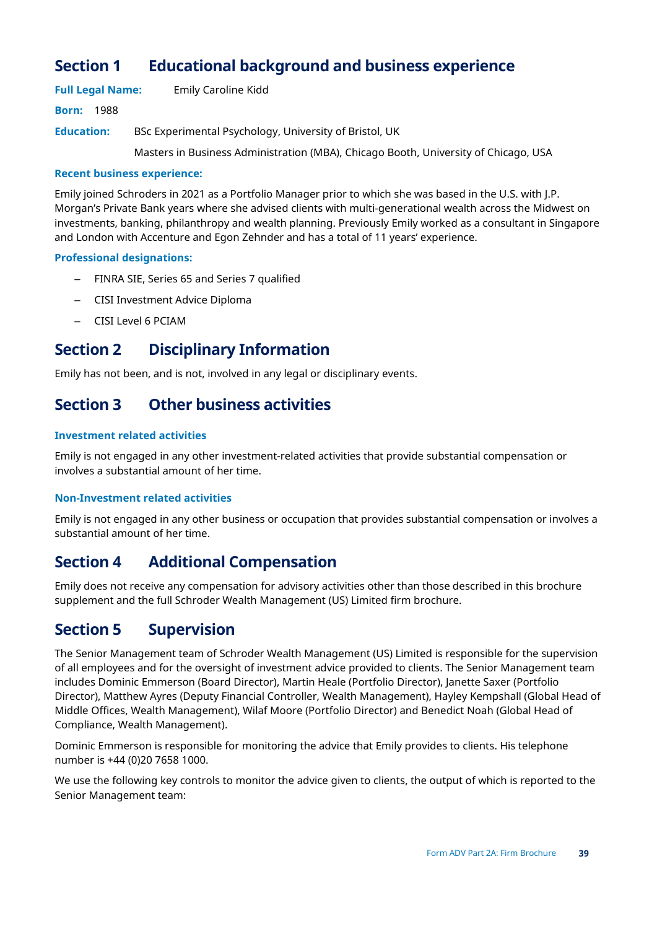## **Section 1 Educational background and business experience**

**Full Legal Name:** Emily Caroline Kidd

**Born:** 1988

**Education:** BSc Experimental Psychology, University of Bristol, UK Masters in Business Administration (MBA), Chicago Booth, University of Chicago, USA

### **Recent business experience:**

Emily joined Schroders in 2021 as a Portfolio Manager prior to which she was based in the U.S. with J.P. Morgan's Private Bank years where she advised clients with multi-generational wealth across the Midwest on investments, banking, philanthropy and wealth planning. Previously Emily worked as a consultant in Singapore and London with Accenture and Egon Zehnder and has a total of 11 years' experience.

## **Professional designations:**

- FINRA SIE, Series 65 and Series 7 qualified
- CISI Investment Advice Diploma
- CISI Level 6 PCIAM

## **Section 2 Disciplinary Information**

Emily has not been, and is not, involved in any legal or disciplinary events.

## **Section 3 Other business activities**

## **Investment related activities**

Emily is not engaged in any other investment-related activities that provide substantial compensation or involves a substantial amount of her time.

### **Non-Investment related activities**

Emily is not engaged in any other business or occupation that provides substantial compensation or involves a substantial amount of her time.

## **Section 4 Additional Compensation**

Emily does not receive any compensation for advisory activities other than those described in this brochure supplement and the full Schroder Wealth Management (US) Limited firm brochure.

## **Section 5 Supervision**

The Senior Management team of Schroder Wealth Management (US) Limited is responsible for the supervision of all employees and for the oversight of investment advice provided to clients. The Senior Management team includes Dominic Emmerson (Board Director), Martin Heale (Portfolio Director), Janette Saxer (Portfolio Director), Matthew Ayres (Deputy Financial Controller, Wealth Management), Hayley Kempshall (Global Head of Middle Offices, Wealth Management), Wilaf Moore (Portfolio Director) and Benedict Noah (Global Head of Compliance, Wealth Management).

Dominic Emmerson is responsible for monitoring the advice that Emily provides to clients. His telephone number is +44 (0)20 7658 1000.

We use the following key controls to monitor the advice given to clients, the output of which is reported to the Senior Management team: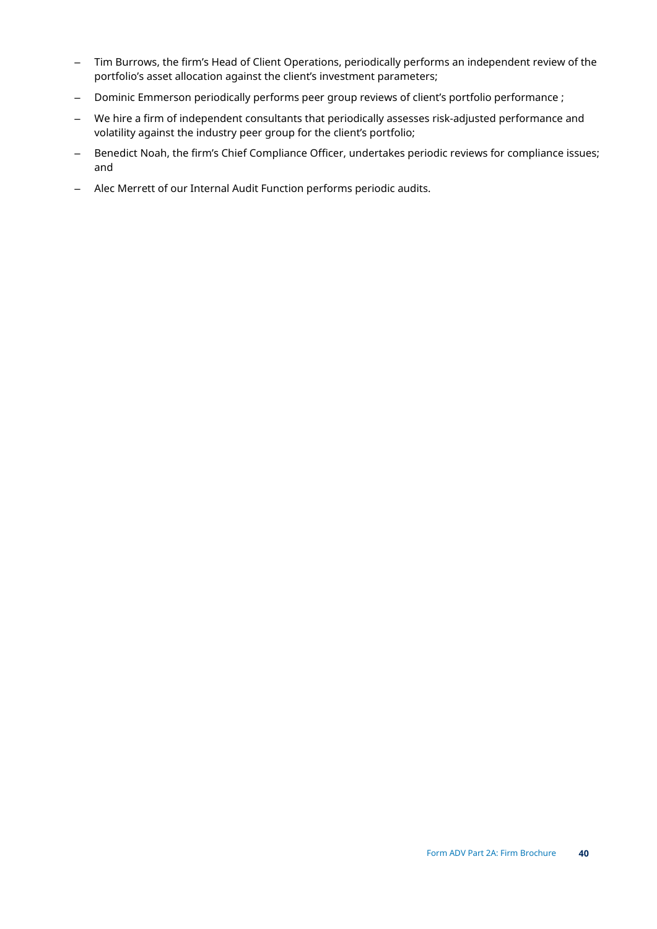- Tim Burrows, the firm's Head of Client Operations, periodically performs an independent review of the portfolio's asset allocation against the client's investment parameters;
- Dominic Emmerson periodically performs peer group reviews of client's portfolio performance ;
- We hire a firm of independent consultants that periodically assesses risk-adjusted performance and volatility against the industry peer group for the client's portfolio;
- Benedict Noah, the firm's Chief Compliance Officer, undertakes periodic reviews for compliance issues; and
- Alec Merrett of our Internal Audit Function performs periodic audits.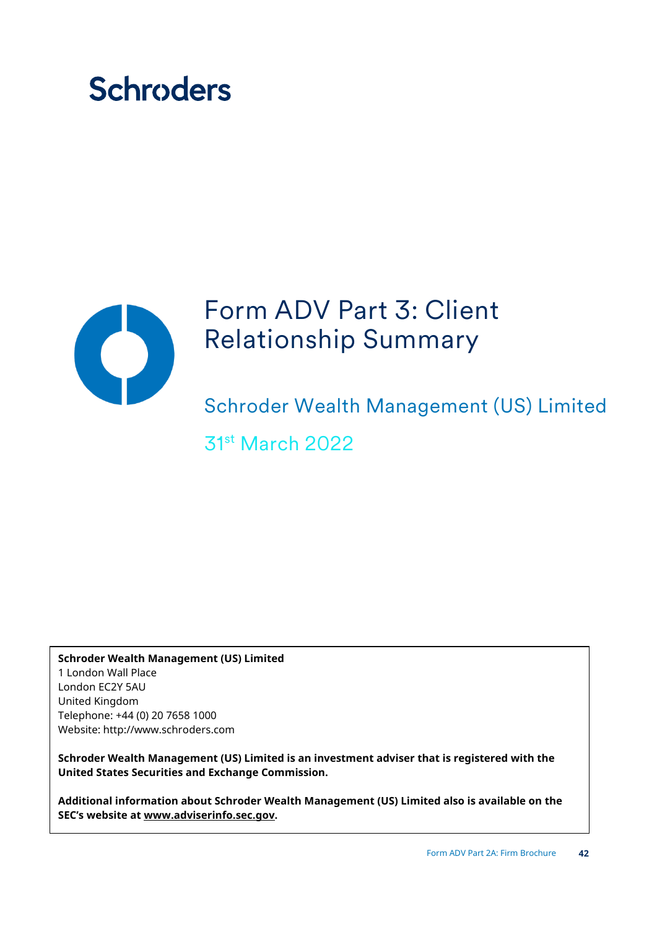# **Schroders**



# Form ADV Part 3: Client Relationship Summary

Schroder Wealth Management (US) Limited

31st March 2022

**Schroder Wealth Management (US) Limited** 1 London Wall Place London EC2Y 5AU United Kingdom Telephone: +44 (0) 20 7658 1000 Website: http://www.schroders.com

**Schroder Wealth Management (US) Limited is an investment adviser that is registered with the United States Securities and Exchange Commission.** 

**Additional information about Schroder Wealth Management (US) Limited also is available on the SEC's website at www.adviserinfo.sec.gov.**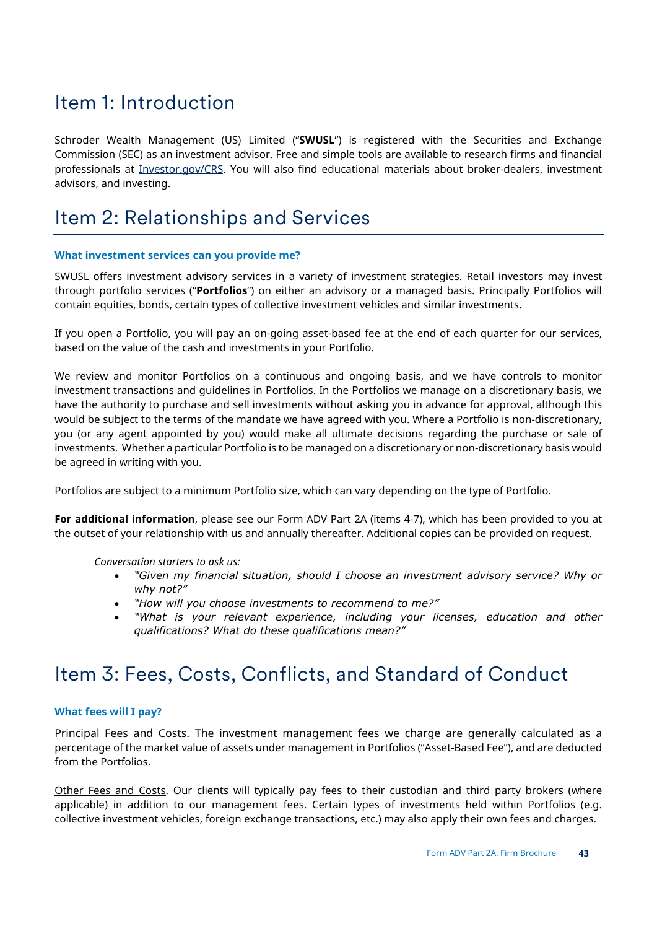## Item 1: Introduction

Schroder Wealth Management (US) Limited ("**SWUSL**") is registered with the Securities and Exchange Commission (SEC) as an investment advisor. Free and simple tools are available to research firms and financial professionals at *Investor.gov/CRS*. You will also find educational materials about broker-dealers, investment advisors, and investing.

## Item 2: Relationships and Services

#### **What investment services can you provide me?**

SWUSL offers investment advisory services in a variety of investment strategies. Retail investors may invest through portfolio services ("**Portfolios**") on either an advisory or a managed basis. Principally Portfolios will contain equities, bonds, certain types of collective investment vehicles and similar investments.

If you open a Portfolio, you will pay an on-going asset-based fee at the end of each quarter for our services, based on the value of the cash and investments in your Portfolio.

We review and monitor Portfolios on a continuous and ongoing basis, and we have controls to monitor investment transactions and guidelines in Portfolios. In the Portfolios we manage on a discretionary basis, we have the authority to purchase and sell investments without asking you in advance for approval, although this would be subject to the terms of the mandate we have agreed with you. Where a Portfolio is non-discretionary, you (or any agent appointed by you) would make all ultimate decisions regarding the purchase or sale of investments. Whether a particular Portfolio is to be managed on a discretionary or non-discretionary basis would be agreed in writing with you.

Portfolios are subject to a minimum Portfolio size, which can vary depending on the type of Portfolio.

**For additional information**, please see our Form ADV Part 2A (items 4-7), which has been provided to you at the outset of your relationship with us and annually thereafter. Additional copies can be provided on request.

### *Conversation starters to ask us:*

- *"Given my financial situation, should I choose an investment advisory service? Why or why not?"*
- *"How will you choose investments to recommend to me?"*
- *"What is your relevant experience, including your licenses, education and other qualifications? What do these qualifications mean?"*

## Item 3: Fees, Costs, Conflicts, and Standard of Conduct

### **What fees will I pay?**

Principal Fees and Costs. The investment management fees we charge are generally calculated as a percentage of the market value of assets under management in Portfolios ("Asset-Based Fee"), and are deducted from the Portfolios.

Other Fees and Costs. Our clients will typically pay fees to their custodian and third party brokers (where applicable) in addition to our management fees. Certain types of investments held within Portfolios (e.g. collective investment vehicles, foreign exchange transactions, etc.) may also apply their own fees and charges.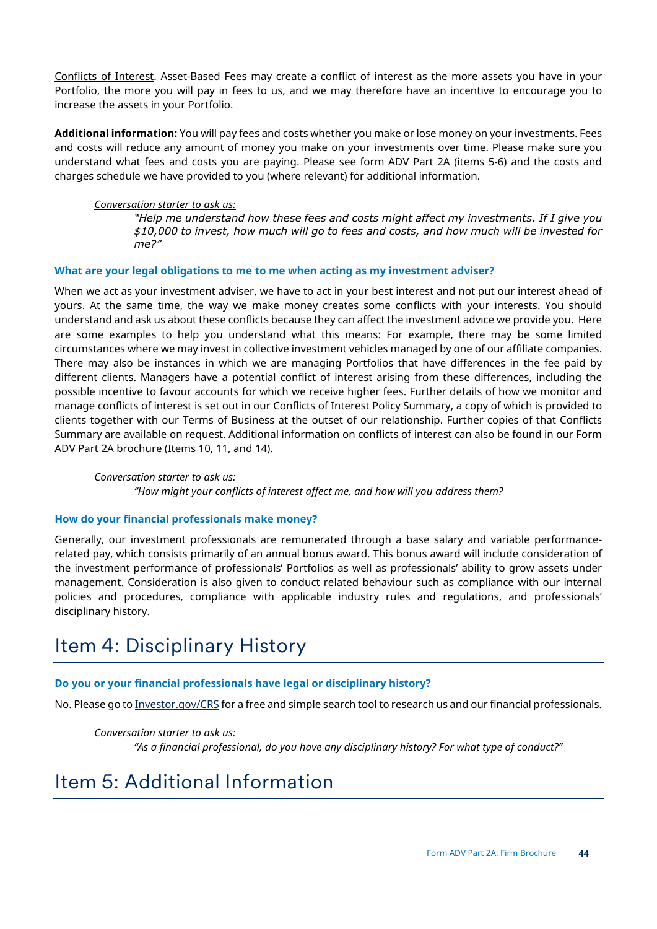Conflicts of Interest. Asset-Based Fees may create a conflict of interest as the more assets you have in your Portfolio, the more you will pay in fees to us, and we may therefore have an incentive to encourage you to increase the assets in your Portfolio.

**Additional information:** You will pay fees and costs whether you make or lose money on your investments. Fees and costs will reduce any amount of money you make on your investments over time. Please make sure you understand what fees and costs you are paying. Please see form ADV Part 2A (items 5-6) and the costs and charges schedule we have provided to you (where relevant) for additional information.

### *Conversation starter to ask us:*

*"Help me understand how these fees and costs might affect my investments. If I give you \$10,000 to invest, how much will go to fees and costs, and how much will be invested for me?"*

## **What are your legal obligations to me to me when acting as my investment adviser?**

When we act as your investment adviser, we have to act in your best interest and not put our interest ahead of yours. At the same time, the way we make money creates some conflicts with your interests. You should understand and ask us about these conflicts because they can affect the investment advice we provide you. Here are some examples to help you understand what this means: For example, there may be some limited circumstances where we may invest in collective investment vehicles managed by one of our affiliate companies. There may also be instances in which we are managing Portfolios that have differences in the fee paid by different clients. Managers have a potential conflict of interest arising from these differences, including the possible incentive to favour accounts for which we receive higher fees. Further details of how we monitor and manage conflicts of interest is set out in our Conflicts of Interest Policy Summary, a copy of which is provided to clients together with our Terms of Business at the outset of our relationship. Further copies of that Conflicts Summary are available on request. Additional information on conflicts of interest can also be found in our Form ADV Part 2A brochure (Items 10, 11, and 14).

### *Conversation starter to ask us:*

*"How might your conflicts of interest affect me, and how will you address them?*

## **How do your financial professionals make money?**

Generally, our investment professionals are remunerated through a base salary and variable performancerelated pay, which consists primarily of an annual bonus award. This bonus award will include consideration of the investment performance of professionals' Portfolios as well as professionals' ability to grow assets under management. Consideration is also given to conduct related behaviour such as compliance with our internal policies and procedures, compliance with applicable industry rules and regulations, and professionals' disciplinary history.

## Item 4: Disciplinary History

## **Do you or your financial professionals have legal or disciplinary history?**

No. Please go t[o Investor.gov/CRS](http://www.investor.gov/CRS) for a free and simple search tool to research us and our financial professionals.

*Conversation starter to ask us: "As a financial professional, do you have any disciplinary history? For what type of conduct?"*

## Item 5: Additional Information